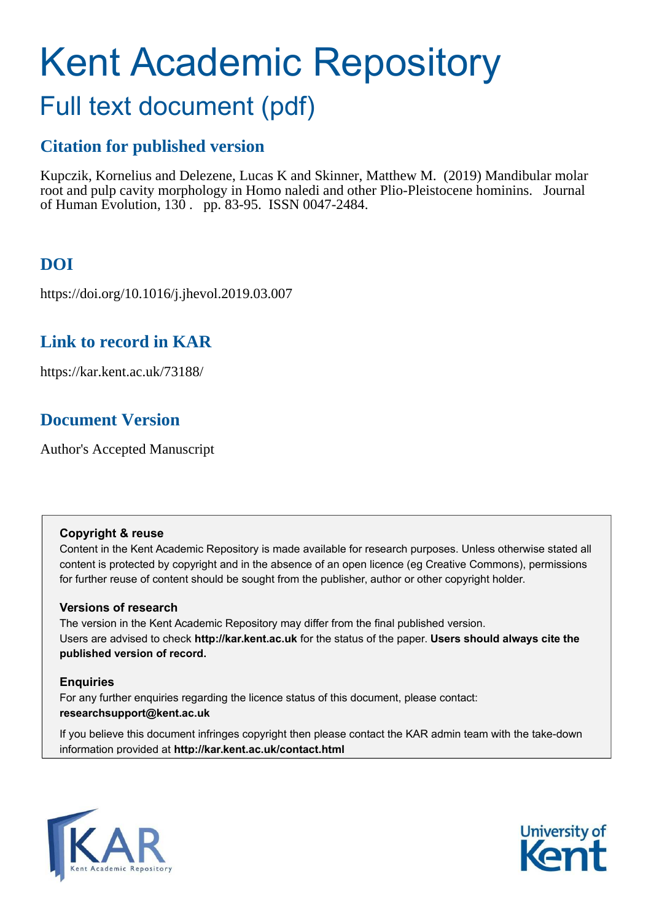# Kent Academic Repository

## Full text document (pdf)

## **Citation for published version**

Kupczik, Kornelius and Delezene, Lucas K and Skinner, Matthew M. (2019) Mandibular molar root and pulp cavity morphology in Homo naledi and other Plio-Pleistocene hominins. Journal of Human Evolution, 130 . pp. 83-95. ISSN 0047-2484.

## **DOI**

https://doi.org/10.1016/j.jhevol.2019.03.007

## **Link to record in KAR**

https://kar.kent.ac.uk/73188/

## **Document Version**

Author's Accepted Manuscript

#### **Copyright & reuse**

Content in the Kent Academic Repository is made available for research purposes. Unless otherwise stated all content is protected by copyright and in the absence of an open licence (eg Creative Commons), permissions for further reuse of content should be sought from the publisher, author or other copyright holder.

#### **Versions of research**

The version in the Kent Academic Repository may differ from the final published version. Users are advised to check **http://kar.kent.ac.uk** for the status of the paper. **Users should always cite the published version of record.**

#### **Enquiries**

For any further enquiries regarding the licence status of this document, please contact: **researchsupport@kent.ac.uk**

If you believe this document infringes copyright then please contact the KAR admin team with the take-down information provided at **http://kar.kent.ac.uk/contact.html**



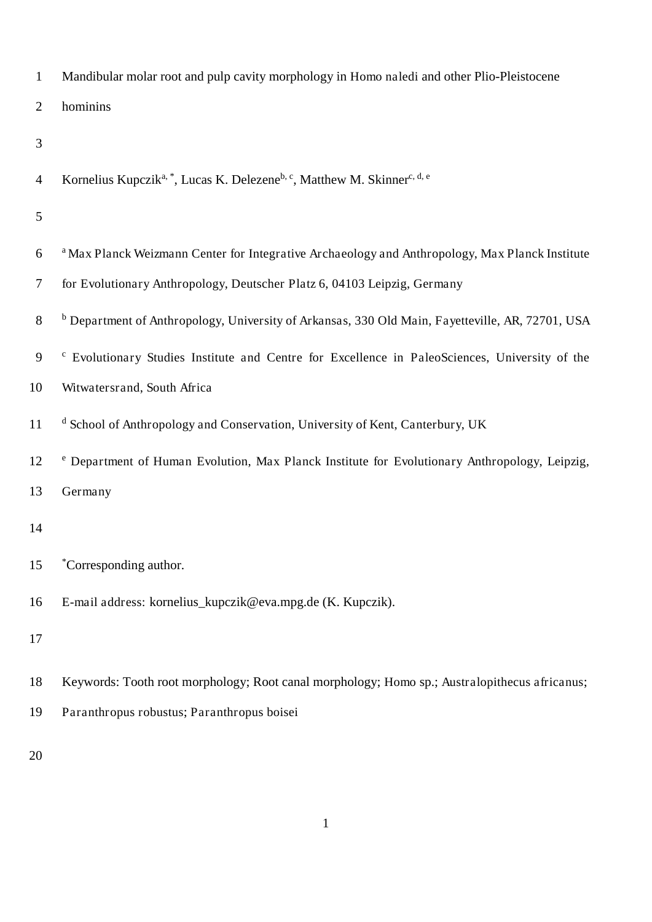| Mandibular molar root and pulp cavity morphology in Homo naledi and other Plio-Pleistocene |  |
|--------------------------------------------------------------------------------------------|--|
|--------------------------------------------------------------------------------------------|--|

- 2 hominins
- 3

|  | Kornelius Kupczik <sup>a, *</sup> , Lucas K. Delezene <sup>b, c</sup> , Matthew M. Skinner <sup>c, d, e</sup> |  |  |  |  |
|--|---------------------------------------------------------------------------------------------------------------|--|--|--|--|
|--|---------------------------------------------------------------------------------------------------------------|--|--|--|--|

5

| _რ | <sup>a</sup> Max Planck Weizmann Center for Integrative Archaeology and Anthropology, Max Planck Institute |
|----|------------------------------------------------------------------------------------------------------------|
|    | for Evolutionary Anthropology, Deutscher Platz 6, 04103 Leipzig, Germany                                   |

- <sup>b</sup> Department of Anthropology, University of Arkansas, 330 Old Main, Fayetteville, AR, 72701, USA
- 9 <sup>c</sup> Evolutionary Studies Institute and Centre for Excellence in PaleoSciences, University of the
- 10 Witwatersrand, South Africa
- 11 d School of Anthropology and Conservation, University of Kent, Canterbury, UK
- <sup>e</sup> Department of Human Evolution, Max Planck Institute for Evolutionary Anthropology, Leipzig, 13 Germany
- 14
- 15 \*Corresponding author.
- 16 E-mail address: kornelius\_kupczik@eva.mpg.de (K. Kupczik).
- 17
- 18 Keywords: Tooth root morphology; Root canal morphology; Homo sp.; Australopithecus africanus;
- 19 Paranthropus robustus; Paranthropus boisei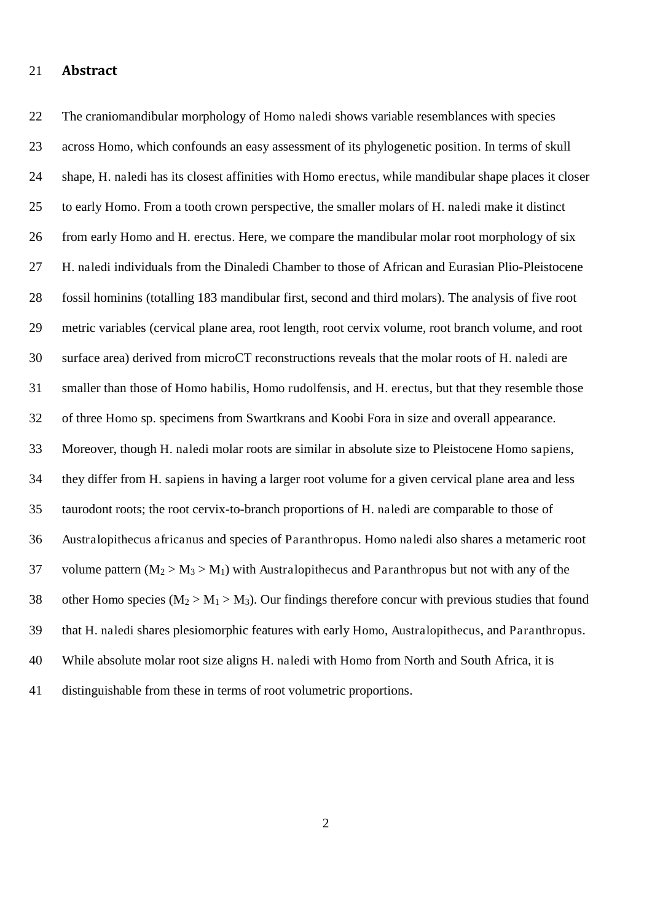#### 21 **Abstract**

22 The craniomandibular morphology of Homo naledi shows variable resemblances with species 23 across Homo, which confounds an easy assessment of its phylogenetic position. In terms of skull 24 shape, H. naledi has its closest affinities with Homo erectus, while mandibular shape places it closer 25 to early Homo. From a tooth crown perspective, the smaller molars of H. naledi make it distinct 26 from early Homo and H. erectus. Here, we compare the mandibular molar root morphology of six 27 H. naledi individuals from the Dinaledi Chamber to those of African and Eurasian Plio-Pleistocene 28 fossil hominins (totalling 183 mandibular first, second and third molars). The analysis of five root 29 metric variables (cervical plane area, root length, root cervix volume, root branch volume, and root 30 surface area) derived from microCT reconstructions reveals that the molar roots of H. naledi are 31 smaller than those of Homo habilis, Homo rudolfensis, and H. erectus, but that they resemble those 32 of three Homo sp. specimens from Swartkrans and Koobi Fora in size and overall appearance. 33 Moreover, though H. naledi molar roots are similar in absolute size to Pleistocene Homo sapiens, 34 they differ from H. sapiens in having a larger root volume for a given cervical plane area and less 35 taurodont roots; the root cervix-to-branch proportions of H. naledi are comparable to those of 36 Australopithecus africanus and species of Paranthropus. Homo naledi also shares a metameric root 37 volume pattern  $(M_2 > M_3 > M_1)$  with Australopithecus and Paranthropus but not with any of the 38 other Homo species ( $M_2 > M_1 > M_3$ ). Our findings therefore concur with previous studies that found 39 that H. naledi shares plesiomorphic features with early Homo, Australopithecus, and Paranthropus. 40 While absolute molar root size aligns H. naledi with Homo from North and South Africa, it is 41 distinguishable from these in terms of root volumetric proportions.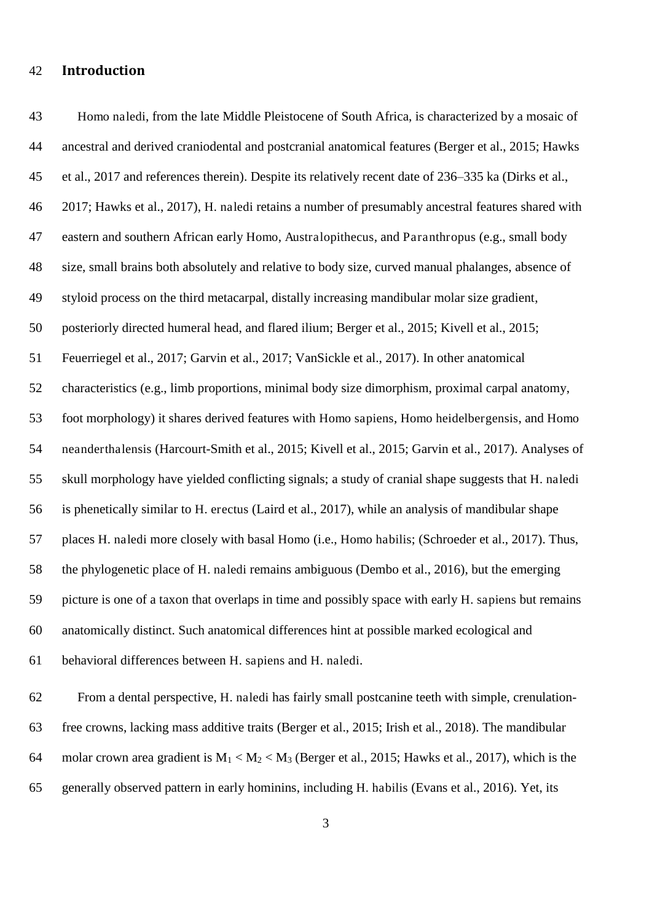#### 42 **Introduction**

43 Homo naledi, from the late Middle Pleistocene of South Africa, is characterized by a mosaic of 44 ancestral and derived craniodental and postcranial anatomical features (Berger et al., 2015; Hawks 45 et al., 2017 and references therein). Despite its relatively recent date of 236–335 ka (Dirks et al., 46 2017; Hawks et al., 2017), H. naledi retains a number of presumably ancestral features shared with 47 eastern and southern African early Homo, Australopithecus, and Paranthropus (e.g., small body 48 size, small brains both absolutely and relative to body size, curved manual phalanges, absence of 49 styloid process on the third metacarpal, distally increasing mandibular molar size gradient, 50 posteriorly directed humeral head, and flared ilium; Berger et al., 2015; Kivell et al., 2015; 51 Feuerriegel et al., 2017; Garvin et al., 2017; VanSickle et al., 2017). In other anatomical 52 characteristics (e.g., limb proportions, minimal body size dimorphism, proximal carpal anatomy, 53 foot morphology) it shares derived features with Homo sapiens, Homo heidelbergensis, and Homo 54 neanderthalensis (Harcourt-Smith et al., 2015; Kivell et al., 2015; Garvin et al., 2017). Analyses of 55 skull morphology have yielded conflicting signals; a study of cranial shape suggests that H. naledi 56 is phenetically similar to H. erectus (Laird et al., 2017), while an analysis of mandibular shape 57 places H. naledi more closely with basal Homo (i.e., Homo habilis; (Schroeder et al., 2017). Thus, 58 the phylogenetic place of H. naledi remains ambiguous (Dembo et al., 2016), but the emerging 59 picture is one of a taxon that overlaps in time and possibly space with early H. sapiens but remains 60 anatomically distinct. Such anatomical differences hint at possible marked ecological and 61 behavioral differences between H. sapiens and H. naledi.

62 From a dental perspective, H. naledi has fairly small postcanine teeth with simple, crenulation-63 free crowns, lacking mass additive traits (Berger et al., 2015; Irish et al., 2018). The mandibular 64 molar crown area gradient is  $M_1 < M_2 < M_3$  (Berger et al., 2015; Hawks et al., 2017), which is the 65 generally observed pattern in early hominins, including H. habilis (Evans et al., 2016). Yet, its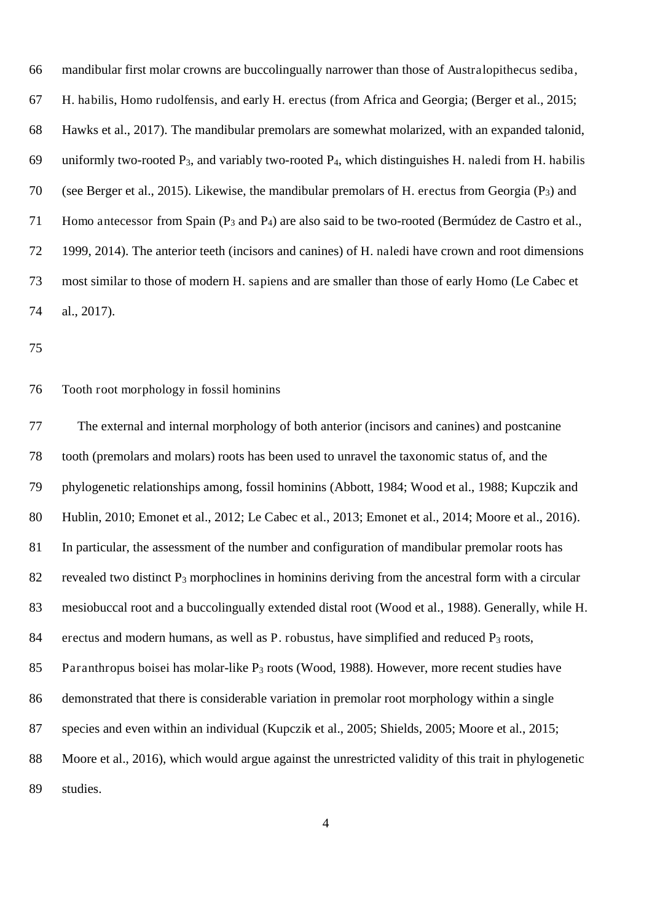66 mandibular first molar crowns are buccolingually narrower than those of Australopithecus sediba, 67 H. habilis, Homo rudolfensis, and early H. erectus (from Africa and Georgia; (Berger et al., 2015; 68 Hawks et al., 2017). The mandibular premolars are somewhat molarized, with an expanded talonid, 69 uniformly two-rooted  $P_3$ , and variably two-rooted  $P_4$ , which distinguishes H. naledi from H. habilis 70 (see Berger et al., 2015). Likewise, the mandibular premolars of H. erectus from Georgia (P3) and 71 Homo antecessor from Spain  $(P_3$  and  $P_4$ ) are also said to be two-rooted (Bermúdez de Castro et al., 72 1999, 2014). The anterior teeth (incisors and canines) of H. naledi have crown and root dimensions 73 most similar to those of modern H. sapiens and are smaller than those of early Homo (Le Cabec et 74 al., 2017).

75

#### 76 Tooth root morphology in fossil hominins

77 The external and internal morphology of both anterior (incisors and canines) and postcanine 78 tooth (premolars and molars) roots has been used to unravel the taxonomic status of, and the 79 phylogenetic relationships among, fossil hominins (Abbott, 1984; Wood et al., 1988; Kupczik and 80 Hublin, 2010; Emonet et al., 2012; Le Cabec et al., 2013; Emonet et al., 2014; Moore et al., 2016). 81 In particular, the assessment of the number and configuration of mandibular premolar roots has 82 revealed two distinct  $P_3$  morphoclines in hominins deriving from the ancestral form with a circular 83 mesiobuccal root and a buccolingually extended distal root (Wood et al., 1988). Generally, while H. 84 erectus and modern humans, as well as P. robustus, have simplified and reduced  $P_3$  roots, 85 Paranthropus boisei has molar-like P<sub>3</sub> roots (Wood, 1988). However, more recent studies have 86 demonstrated that there is considerable variation in premolar root morphology within a single 87 species and even within an individual (Kupczik et al., 2005; Shields, 2005; Moore et al., 2015; 88 Moore et al., 2016), which would argue against the unrestricted validity of this trait in phylogenetic 89 studies.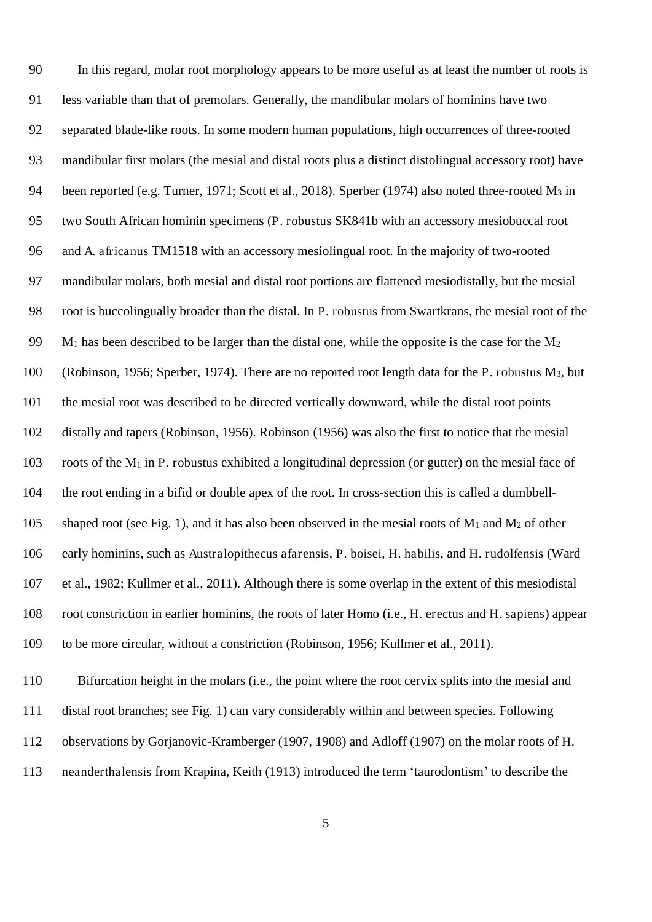90 In this regard, molar root morphology appears to be more useful as at least the number of roots is 91 less variable than that of premolars. Generally, the mandibular molars of hominins have two 92 separated blade-like roots. In some modern human populations, high occurrences of three-rooted 93 mandibular first molars (the mesial and distal roots plus a distinct distolingual accessory root) have 94 been reported (e.g. Turner, 1971; Scott et al., 2018). Sperber (1974) also noted three-rooted M<sub>3</sub> in 95 two South African hominin specimens (P. robustus SK841b with an accessory mesiobuccal root 96 and A. africanus TM1518 with an accessory mesiolingual root. In the majority of two-rooted 97 mandibular molars, both mesial and distal root portions are flattened mesiodistally, but the mesial 98 root is buccolingually broader than the distal. In P. robustus from Swartkrans, the mesial root of the 99 M<sub>1</sub> has been described to be larger than the distal one, while the opposite is the case for the M<sub>2</sub> 100 (Robinson, 1956; Sperber, 1974). There are no reported root length data for the P. robustus M3, but 101 the mesial root was described to be directed vertically downward, while the distal root points 102 distally and tapers (Robinson, 1956). Robinson (1956) was also the first to notice that the mesial 103 roots of the  $M_1$  in P. robustus exhibited a longitudinal depression (or gutter) on the mesial face of 104 the root ending in a bifid or double apex of the root. In cross-section this is called a dumbbell-105 shaped root (see Fig. 1), and it has also been observed in the mesial roots of  $M_1$  and  $M_2$  of other 106 early hominins, such as Australopithecus afarensis, P. boisei, H. habilis, and H. rudolfensis (Ward 107 et al., 1982; Kullmer et al., 2011). Although there is some overlap in the extent of this mesiodistal 108 root constriction in earlier hominins, the roots of later Homo (i.e., H. erectus and H. sapiens) appear 109 to be more circular, without a constriction (Robinson, 1956; Kullmer et al., 2011).

110 Bifurcation height in the molars (i.e., the point where the root cervix splits into the mesial and 111 distal root branches; see Fig. 1) can vary considerably within and between species. Following 112 observations by Gorjanovic-Kramberger (1907, 1908) and Adloff (1907) on the molar roots of H. 113 neanderthalensis from Krapina, Keith (1913) introduced the term 'taurodontism' to describe the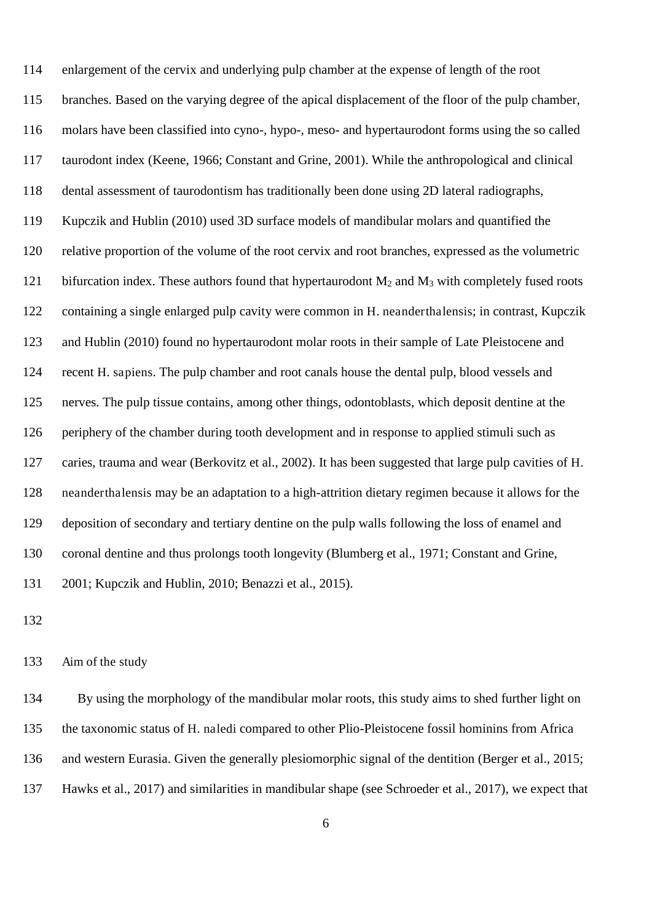114 enlargement of the cervix and underlying pulp chamber at the expense of length of the root 115 branches. Based on the varying degree of the apical displacement of the floor of the pulp chamber, 116 molars have been classified into cyno-, hypo-, meso- and hypertaurodont forms using the so called 117 taurodont index (Keene, 1966; Constant and Grine, 2001). While the anthropological and clinical 118 dental assessment of taurodontism has traditionally been done using 2D lateral radiographs, 119 Kupczik and Hublin (2010) used 3D surface models of mandibular molars and quantified the 120 relative proportion of the volume of the root cervix and root branches, expressed as the volumetric 121 bifurcation index. These authors found that hypertaurodont  $M_2$  and  $M_3$  with completely fused roots 122 containing a single enlarged pulp cavity were common in H. neanderthalensis; in contrast, Kupczik 123 and Hublin (2010) found no hypertaurodont molar roots in their sample of Late Pleistocene and 124 recent H. sapiens. The pulp chamber and root canals house the dental pulp, blood vessels and 125 nerves. The pulp tissue contains, among other things, odontoblasts, which deposit dentine at the 126 periphery of the chamber during tooth development and in response to applied stimuli such as 127 caries, trauma and wear (Berkovitz et al., 2002). It has been suggested that large pulp cavities of H. 128 neanderthalensis may be an adaptation to a high-attrition dietary regimen because it allows for the 129 deposition of secondary and tertiary dentine on the pulp walls following the loss of enamel and 130 coronal dentine and thus prolongs tooth longevity (Blumberg et al., 1971; Constant and Grine, 131 2001; Kupczik and Hublin, 2010; Benazzi et al., 2015).

132

#### 133 Aim of the study

134 By using the morphology of the mandibular molar roots, this study aims to shed further light on 135 the taxonomic status of H. naledi compared to other Plio-Pleistocene fossil hominins from Africa 136 and western Eurasia. Given the generally plesiomorphic signal of the dentition (Berger et al., 2015; 137 Hawks et al., 2017) and similarities in mandibular shape (see Schroeder et al., 2017), we expect that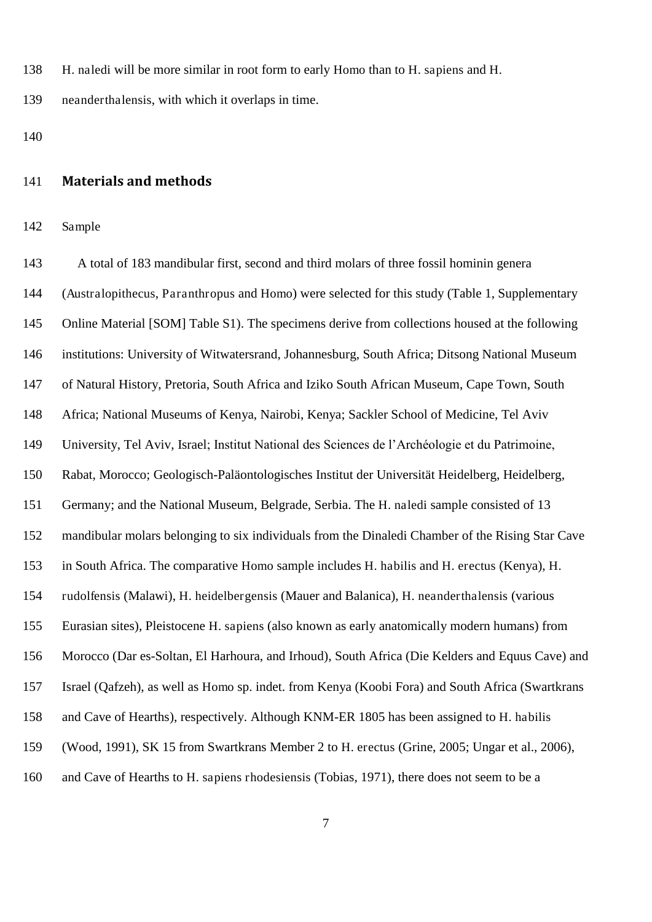138 H. naledi will be more similar in root form to early Homo than to H. sapiens and H.

139 neanderthalensis, with which it overlaps in time.

140

#### 141 **Materials and methods**

142 Sample

143 A total of 183 mandibular first, second and third molars of three fossil hominin genera 144 (Australopithecus, Paranthropus and Homo) were selected for this study (Table 1, Supplementary 145 Online Material [SOM] Table S1). The specimens derive from collections housed at the following 146 institutions: University of Witwatersrand, Johannesburg, South Africa; Ditsong National Museum 147 of Natural History, Pretoria, South Africa and Iziko South African Museum, Cape Town, South 148 Africa; National Museums of Kenya, Nairobi, Kenya; Sackler School of Medicine, Tel Aviv 149 University, Tel Aviv, Israel; Institut National des Sciences de l'Archéologie et du Patrimoine, 150 Rabat, Morocco; Geologisch-Paläontologisches Institut der Universität Heidelberg, Heidelberg, 151 Germany; and the National Museum, Belgrade, Serbia. The H. naledi sample consisted of 13 152 mandibular molars belonging to six individuals from the Dinaledi Chamber of the Rising Star Cave 153 in South Africa. The comparative Homo sample includes H. habilis and H. erectus (Kenya), H. 154 rudolfensis (Malawi), H. heidelbergensis (Mauer and Balanica), H. neanderthalensis (various 155 Eurasian sites), Pleistocene H. sapiens (also known as early anatomically modern humans) from 156 Morocco (Dar es-Soltan, El Harhoura, and Irhoud), South Africa (Die Kelders and Equus Cave) and 157 Israel (Qafzeh), as well as Homo sp. indet. from Kenya (Koobi Fora) and South Africa (Swartkrans 158 and Cave of Hearths), respectively. Although KNM-ER 1805 has been assigned to H. habilis 159 (Wood, 1991), SK 15 from Swartkrans Member 2 to H. erectus (Grine, 2005; Ungar et al., 2006), 160 and Cave of Hearths to H. sapiens rhodesiensis (Tobias, 1971), there does not seem to be a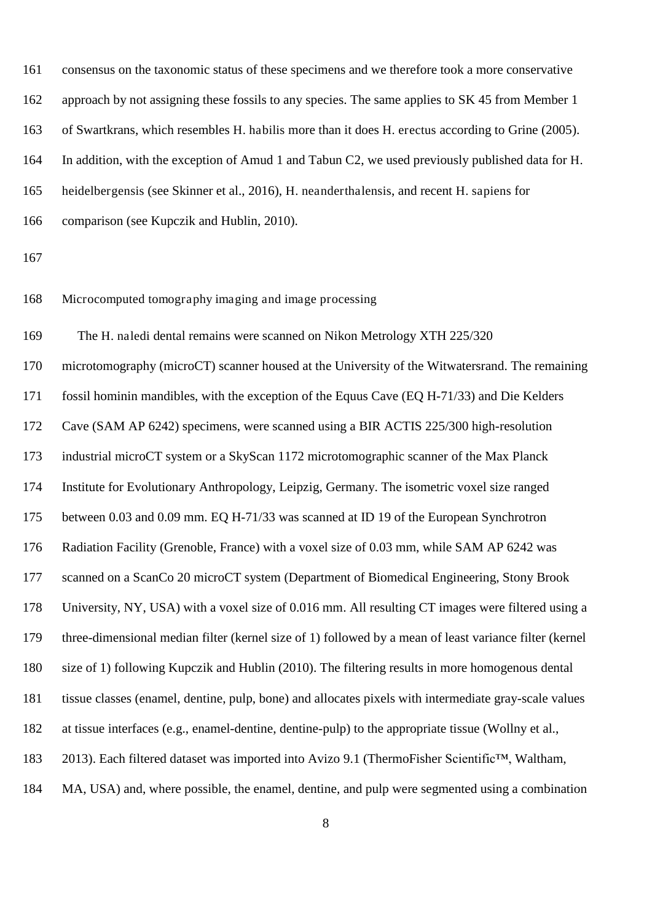| 161 | consensus on the taxonomic status of these specimens and we therefore took a more conservative         |
|-----|--------------------------------------------------------------------------------------------------------|
| 162 | approach by not assigning these fossils to any species. The same applies to SK 45 from Member 1        |
| 163 | of Swartkrans, which resembles H. habilis more than it does H. erectus according to Grine (2005).      |
| 164 | In addition, with the exception of Amud 1 and Tabun C2, we used previously published data for H.       |
| 165 | heidelbergensis (see Skinner et al., 2016), H. neanderthalensis, and recent H. sapiens for             |
| 166 | comparison (see Kupczik and Hublin, 2010).                                                             |
| 167 |                                                                                                        |
| 168 | Microcomputed tomography imaging and image processing                                                  |
| 169 | The H. naledi dental remains were scanned on Nikon Metrology XTH 225/320                               |
| 170 | microtomography (microCT) scanner housed at the University of the Witwatersrand. The remaining         |
| 171 | fossil hominin mandibles, with the exception of the Equus Cave (EQ H-71/33) and Die Kelders            |
| 172 | Cave (SAM AP 6242) specimens, were scanned using a BIR ACTIS 225/300 high-resolution                   |
| 173 | industrial microCT system or a SkyScan 1172 microtomographic scanner of the Max Planck                 |
| 174 | Institute for Evolutionary Anthropology, Leipzig, Germany. The isometric voxel size ranged             |
| 175 | between 0.03 and 0.09 mm. EQ H-71/33 was scanned at ID 19 of the European Synchrotron                  |
| 176 | Radiation Facility (Grenoble, France) with a voxel size of 0.03 mm, while SAM AP 6242 was              |
| 177 | scanned on a ScanCo 20 microCT system (Department of Biomedical Engineering, Stony Brook               |
| 178 | University, NY, USA) with a voxel size of 0.016 mm. All resulting CT images were filtered using a      |
| 179 | three-dimensional median filter (kernel size of 1) followed by a mean of least variance filter (kernel |
| 180 | size of 1) following Kupczik and Hublin (2010). The filtering results in more homogenous dental        |
| 181 | tissue classes (enamel, dentine, pulp, bone) and allocates pixels with intermediate gray-scale values  |
| 182 | at tissue interfaces (e.g., enamel-dentine, dentine-pulp) to the appropriate tissue (Wollny et al.,    |
| 183 | 2013). Each filtered dataset was imported into Avizo 9.1 (ThermoFisher Scientific™, Waltham,           |
| 184 | MA, USA) and, where possible, the enamel, dentine, and pulp were segmented using a combination         |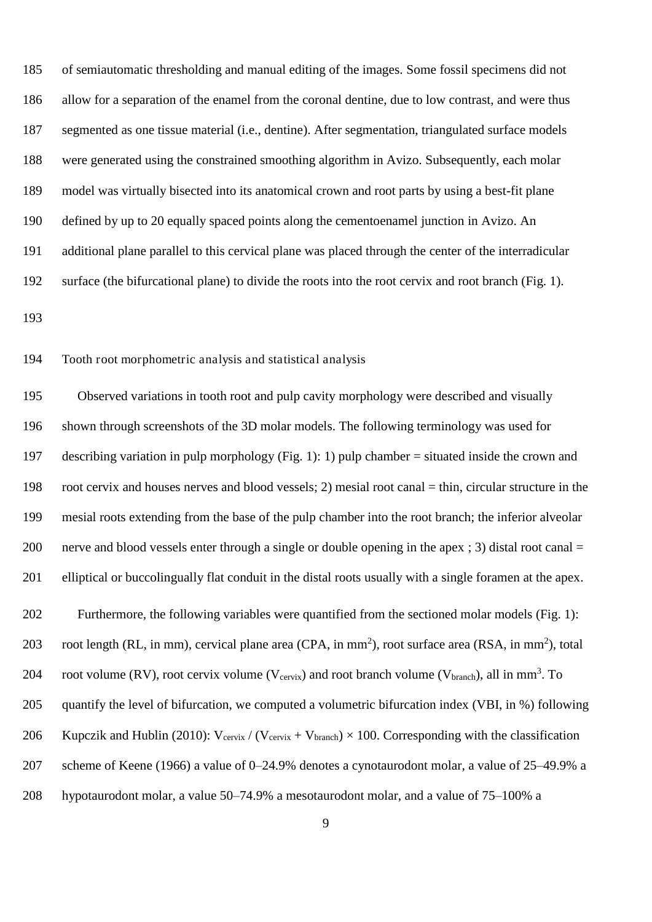185 of semiautomatic thresholding and manual editing of the images. Some fossil specimens did not 186 allow for a separation of the enamel from the coronal dentine, due to low contrast, and were thus 187 segmented as one tissue material (i.e., dentine). After segmentation, triangulated surface models 188 were generated using the constrained smoothing algorithm in Avizo. Subsequently, each molar 189 model was virtually bisected into its anatomical crown and root parts by using a best-fit plane 190 defined by up to 20 equally spaced points along the cementoenamel junction in Avizo. An 191 additional plane parallel to this cervical plane was placed through the center of the interradicular 192 surface (the bifurcational plane) to divide the roots into the root cervix and root branch (Fig. 1).

193

#### 194 Tooth root morphometric analysis and statistical analysis

195 Observed variations in tooth root and pulp cavity morphology were described and visually 196 shown through screenshots of the 3D molar models. The following terminology was used for 197 describing variation in pulp morphology (Fig. 1): 1) pulp chamber = situated inside the crown and 198 root cervix and houses nerves and blood vessels; 2) mesial root canal = thin, circular structure in the 199 mesial roots extending from the base of the pulp chamber into the root branch; the inferior alveolar 200 nerve and blood vessels enter through a single or double opening in the apex ; 3) distal root canal = 201 elliptical or buccolingually flat conduit in the distal roots usually with a single foramen at the apex. 202 Furthermore, the following variables were quantified from the sectioned molar models (Fig. 1):

203 root length (RL, in mm), cervical plane area (CPA, in mm<sup>2</sup>), root surface area (RSA, in mm<sup>2</sup>), total 204 root volume (RV), root cervix volume ( $V_{\text{cervix}}$ ) and root branch volume ( $V_{\text{branch}}$ ), all in mm<sup>3</sup>. To 205 quantify the level of bifurcation, we computed a volumetric bifurcation index (VBI, in %) following 206 Kupczik and Hublin (2010):  $V_{cervix} / (V_{cervix} + V_{branch}) \times 100$ . Corresponding with the classification 207 scheme of Keene (1966) a value of 0–24.9% denotes a cynotaurodont molar, a value of 25–49.9% a 208 hypotaurodont molar, a value 50–74.9% a mesotaurodont molar, and a value of 75–100% a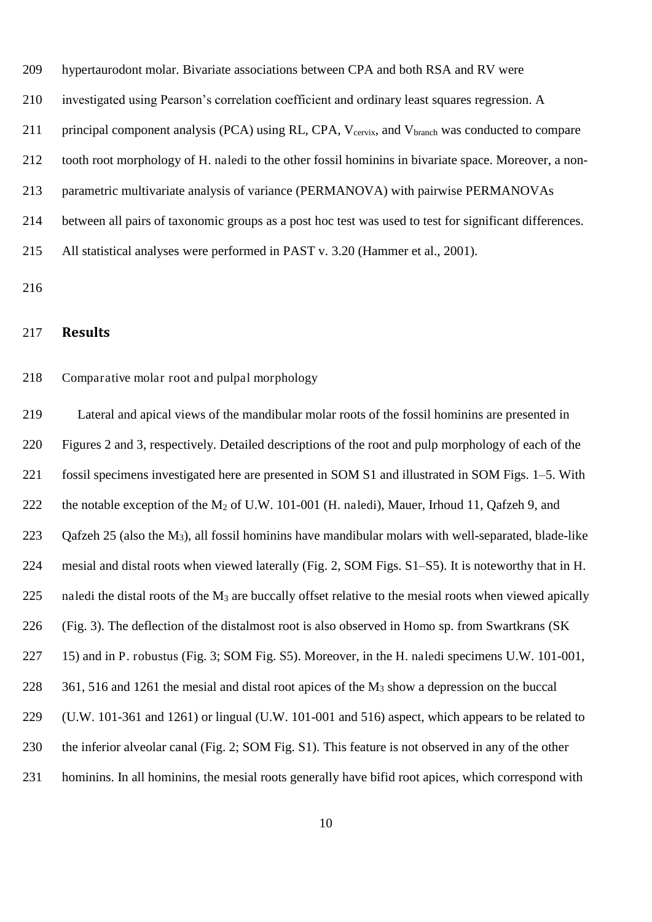- 209 hypertaurodont molar. Bivariate associations between CPA and both RSA and RV were
- 210 investigated using Pearson's correlation coefficient and ordinary least squares regression. A
- 211 principal component analysis (PCA) using RL, CPA, V<sub>cervix</sub>, and V<sub>branch</sub> was conducted to compare
- 212 tooth root morphology of H. naledi to the other fossil hominins in bivariate space. Moreover, a non-
- 213 parametric multivariate analysis of variance (PERMANOVA) with pairwise PERMANOVAs
- 214 between all pairs of taxonomic groups as a post hoc test was used to test for significant differences.
- 215 All statistical analyses were performed in PAST v. 3.20 (Hammer et al., 2001).

216

#### 217 **Results**

#### 218 Comparative molar root and pulpal morphology

219 Lateral and apical views of the mandibular molar roots of the fossil hominins are presented in 220 Figures 2 and 3, respectively. Detailed descriptions of the root and pulp morphology of each of the 221 fossil specimens investigated here are presented in SOM S1 and illustrated in SOM Figs. 1–5. With 222 the notable exception of the M<sub>2</sub> of U.W. 101-001 (H. naledi), Mauer, Irhoud 11, Qafzeh 9, and 223 Qafzeh 25 (also the M3), all fossil hominins have mandibular molars with well-separated, blade-like 224 mesial and distal roots when viewed laterally (Fig. 2, SOM Figs. S1–S5). It is noteworthy that in H. 225 naledi the distal roots of the  $M_3$  are buccally offset relative to the mesial roots when viewed apically 226 (Fig. 3). The deflection of the distalmost root is also observed in Homo sp. from Swartkrans (SK 227 15) and in P. robustus (Fig. 3; SOM Fig. S5). Moreover, in the H. naledi specimens U.W. 101-001, 228 361, 516 and 1261 the mesial and distal root apices of the M<sub>3</sub> show a depression on the buccal 229 (U.W. 101-361 and 1261) or lingual (U.W. 101-001 and 516) aspect, which appears to be related to 230 the inferior alveolar canal (Fig. 2; SOM Fig. S1). This feature is not observed in any of the other 231 hominins. In all hominins, the mesial roots generally have bifid root apices, which correspond with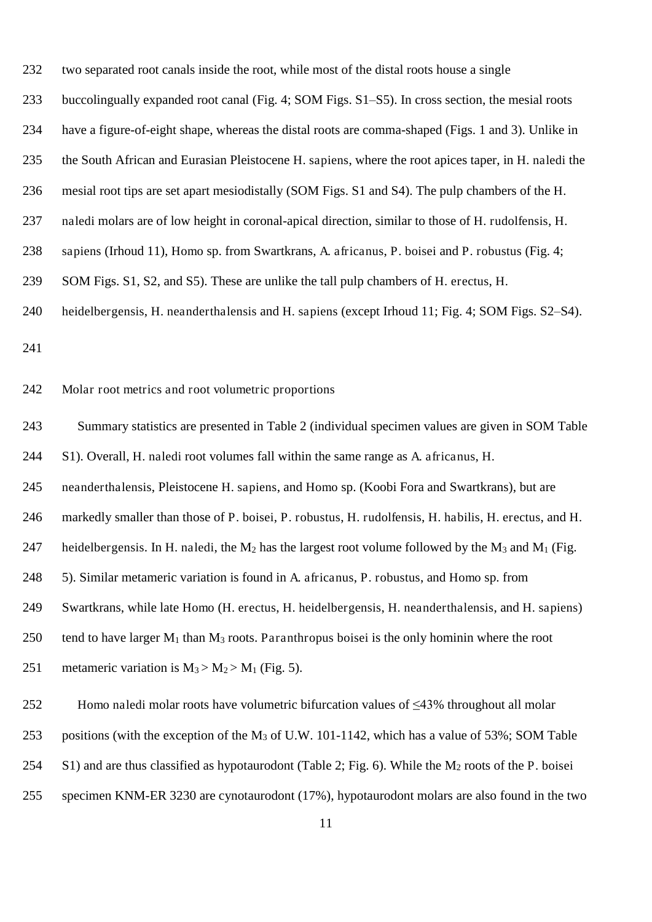- 232 two separated root canals inside the root, while most of the distal roots house a single
- 233 buccolingually expanded root canal (Fig. 4; SOM Figs. S1–S5). In cross section, the mesial roots
- 234 have a figure-of-eight shape, whereas the distal roots are comma-shaped (Figs. 1 and 3). Unlike in
- 235 the South African and Eurasian Pleistocene H. sapiens, where the root apices taper, in H. naledi the
- 236 mesial root tips are set apart mesiodistally (SOM Figs. S1 and S4). The pulp chambers of the H.
- 237 naledi molars are of low height in coronal-apical direction, similar to those of H. rudolfensis, H.
- 238 sapiens (Irhoud 11), Homo sp. from Swartkrans, A. africanus, P. boisei and P. robustus (Fig. 4;
- 239 SOM Figs. S1, S2, and S5). These are unlike the tall pulp chambers of H. erectus, H.
- 240 heidelbergensis, H. neanderthalensis and H. sapiens (except Irhoud 11; Fig. 4; SOM Figs. S2–S4).
- 241
- 242 Molar root metrics and root volumetric proportions
- 243 Summary statistics are presented in Table 2 (individual specimen values are given in SOM Table 244 S1). Overall, H. naledi root volumes fall within the same range as A. africanus, H.
- 245 neanderthalensis, Pleistocene H. sapiens, and Homo sp. (Koobi Fora and Swartkrans), but are
- 246 markedly smaller than those of P. boisei, P. robustus, H. rudolfensis, H. habilis, H. erectus, and H.
- 247 heidelbergensis. In H. naledi, the M<sub>2</sub> has the largest root volume followed by the M<sub>3</sub> and M<sub>1</sub> (Fig.
- 248 5). Similar metameric variation is found in A. africanus, P. robustus, and Homo sp. from
- 249 Swartkrans, while late Homo (H. erectus, H. heidelbergensis, H. neanderthalensis, and H. sapiens)
- 250 tend to have larger  $M_1$  than  $M_3$  roots. Paranthropus boisei is the only hominin where the root
- 251 metameric variation is  $M_3 > M_2 > M_1$  (Fig. 5).
- 252 Homo naledi molar roots have volumetric bifurcation values of ≤43% throughout all molar
- 253 positions (with the exception of the M3 of U.W. 101-1142, which has a value of 53%; SOM Table
- 254 S1) and are thus classified as hypotaurodont (Table 2; Fig. 6). While the M2 roots of the P. boisei
- 255 specimen KNM-ER 3230 are cynotaurodont (17%), hypotaurodont molars are also found in the two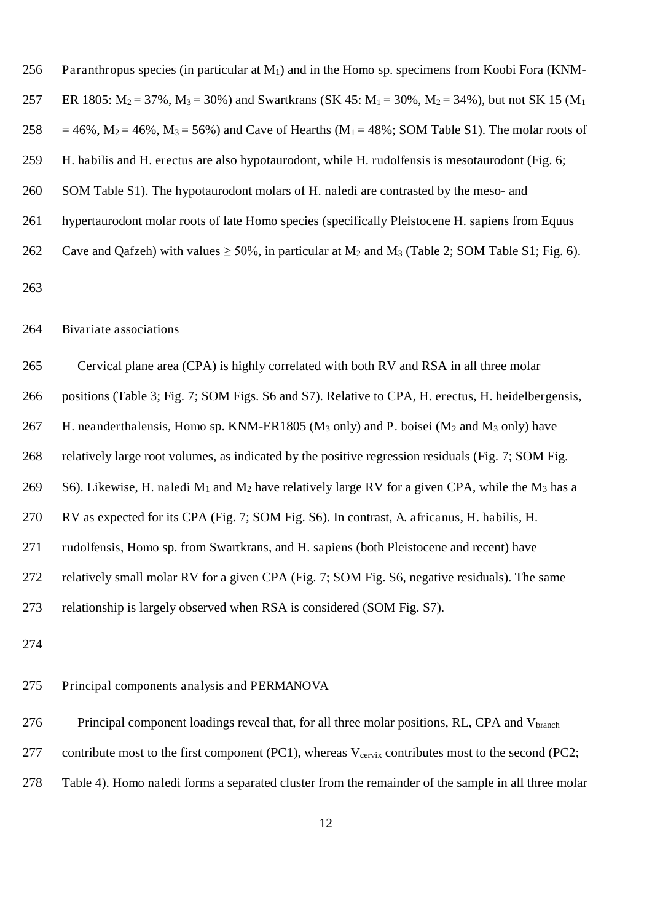| 256 | Paranthropus species (in particular at $M_1$ ) and in the Homo sp. specimens from Koobi Fora (KNM-                             |
|-----|--------------------------------------------------------------------------------------------------------------------------------|
| 257 | ER 1805: $M_2 = 37\%$ , $M_3 = 30\%$ ) and Swartkrans (SK 45: $M_1 = 30\%$ , $M_2 = 34\%$ ), but not SK 15 (M <sub>1</sub> )   |
| 258 | $= 46\%, M_2 = 46\%, M_3 = 56\%$ ) and Cave of Hearths (M <sub>1</sub> = 48%; SOM Table S1). The molar roots of                |
| 259 | H. habilis and H. erectus are also hypotaurodont, while H. rudolfensis is mesotaurodont (Fig. 6;                               |
| 260 | SOM Table S1). The hypotaurodont molars of H. naledi are contrasted by the meso- and                                           |
| 261 | hypertaurodont molar roots of late Homo species (specifically Pleistocene H. sapiens from Equus                                |
| 262 | Cave and Qafzeh) with values $\geq 50\%$ , in particular at M <sub>2</sub> and M <sub>3</sub> (Table 2; SOM Table S1; Fig. 6). |
| 263 |                                                                                                                                |
| 264 | Bivariate associations                                                                                                         |
| 265 | Cervical plane area (CPA) is highly correlated with both RV and RSA in all three molar                                         |
| 266 | positions (Table 3; Fig. 7; SOM Figs. S6 and S7). Relative to CPA, H. erectus, H. heidelbergensis,                             |
| 267 | H. neanderthalensis, Homo sp. KNM-ER1805 ( $M_3$ only) and P. boisei ( $M_2$ and $M_3$ only) have                              |
| 268 | relatively large root volumes, as indicated by the positive regression residuals (Fig. 7; SOM Fig.                             |
| 269 | S6). Likewise, H. naledi $M_1$ and $M_2$ have relatively large RV for a given CPA, while the $M_3$ has a                       |
| 270 | RV as expected for its CPA (Fig. 7; SOM Fig. S6). In contrast, A. africanus, H. habilis, H.                                    |
| 271 | rudolfensis, Homo sp. from Swartkrans, and H. sapiens (both Pleistocene and recent) have                                       |
| 272 | relatively small molar RV for a given CPA (Fig. 7; SOM Fig. S6, negative residuals). The same                                  |
| 273 | relationship is largely observed when RSA is considered (SOM Fig. S7).                                                         |
| 274 |                                                                                                                                |
|     |                                                                                                                                |

275 Principal components analysis and PERMANOVA

276 Principal component loadings reveal that, for all three molar positions, RL, CPA and V<sub>branch</sub>

- 277 contribute most to the first component (PC1), whereas  $V_{\text{cervix}}$  contributes most to the second (PC2;
- 278 Table 4). Homo naledi forms a separated cluster from the remainder of the sample in all three molar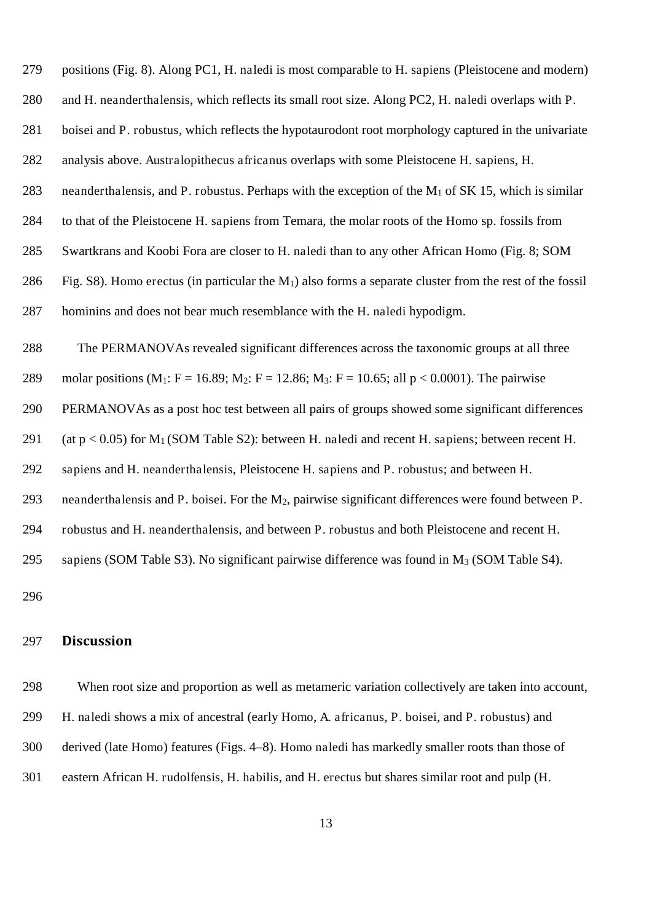279 positions (Fig. 8). Along PC1, H. naledi is most comparable to H. sapiens (Pleistocene and modern) 280 and H. neanderthalensis, which reflects its small root size. Along PC2, H. naledi overlaps with P. 281 boisei and P. robustus, which reflects the hypotaurodont root morphology captured in the univariate 282 analysis above. Australopithecus africanus overlaps with some Pleistocene H. sapiens, H. 283 neanderthalensis, and P. robustus. Perhaps with the exception of the  $M_1$  of SK 15, which is similar 284 to that of the Pleistocene H. sapiens from Temara, the molar roots of the Homo sp. fossils from 285 Swartkrans and Koobi Fora are closer to H. naledi than to any other African Homo (Fig. 8; SOM 286 Fig. S8). Homo erectus (in particular the  $M_1$ ) also forms a separate cluster from the rest of the fossil 287 hominins and does not bear much resemblance with the H. naledi hypodigm. 288 The PERMANOVAs revealed significant differences across the taxonomic groups at all three 289 molar positions  $(M_1: F = 16.89: M_2: F = 12.86: M_3: F = 10.65$ ; all  $p < 0.0001$ ). The pairwise 290 PERMANOVAs as a post hoc test between all pairs of groups showed some significant differences 291 (at  $p < 0.05$ ) for M<sub>1</sub> (SOM Table S2): between H. naledi and recent H. sapiens; between recent H. 292 sapiens and H. neanderthalensis, Pleistocene H. sapiens and P. robustus; and between H. 293 neanderthalensis and P. boisei. For the M2, pairwise significant differences were found between P. 294 robustus and H. neanderthalensis, and between P. robustus and both Pleistocene and recent H. 295 sapiens (SOM Table S3). No significant pairwise difference was found in M3 (SOM Table S4). 296

#### 297 **Discussion**

298 When root size and proportion as well as metameric variation collectively are taken into account, 299 H. naledi shows a mix of ancestral (early Homo, A. africanus, P. boisei, and P. robustus) and 300 derived (late Homo) features (Figs. 4–8). Homo naledi has markedly smaller roots than those of 301 eastern African H. rudolfensis, H. habilis, and H. erectus but shares similar root and pulp (H.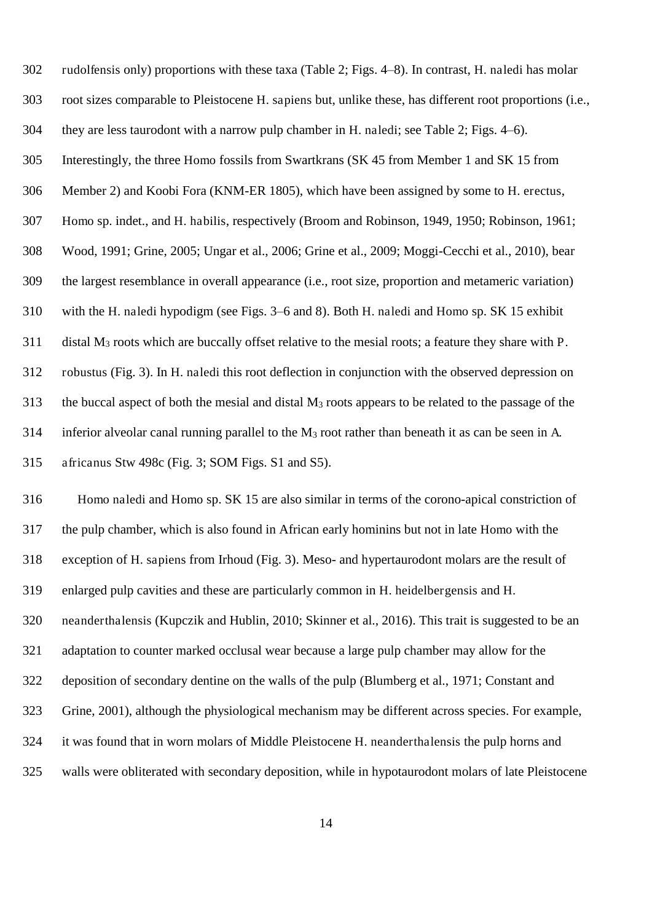302 rudolfensis only) proportions with these taxa (Table 2; Figs. 4–8). In contrast, H. naledi has molar 303 root sizes comparable to Pleistocene H. sapiens but, unlike these, has different root proportions (i.e., 304 they are less taurodont with a narrow pulp chamber in H. naledi; see Table 2; Figs. 4–6). 305 Interestingly, the three Homo fossils from Swartkrans (SK 45 from Member 1 and SK 15 from 306 Member 2) and Koobi Fora (KNM-ER 1805), which have been assigned by some to H. erectus, 307 Homo sp. indet., and H. habilis, respectively (Broom and Robinson, 1949, 1950; Robinson, 1961; 308 Wood, 1991; Grine, 2005; Ungar et al., 2006; Grine et al., 2009; Moggi-Cecchi et al., 2010), bear 309 the largest resemblance in overall appearance (i.e., root size, proportion and metameric variation) 310 with the H. naledi hypodigm (see Figs. 3–6 and 8). Both H. naledi and Homo sp. SK 15 exhibit 311 distal M3 roots which are buccally offset relative to the mesial roots; a feature they share with P. 312 robustus (Fig. 3). In H. naledi this root deflection in conjunction with the observed depression on 313 the buccal aspect of both the mesial and distal  $M_3$  roots appears to be related to the passage of the 314 inferior alveolar canal running parallel to the M3 root rather than beneath it as can be seen in A. 315 africanus Stw 498c (Fig. 3; SOM Figs. S1 and S5).

316 Homo naledi and Homo sp. SK 15 are also similar in terms of the corono-apical constriction of 317 the pulp chamber, which is also found in African early hominins but not in late Homo with the 318 exception of H. sapiens from Irhoud (Fig. 3). Meso- and hypertaurodont molars are the result of 319 enlarged pulp cavities and these are particularly common in H. heidelbergensis and H. 320 neanderthalensis (Kupczik and Hublin, 2010; Skinner et al., 2016). This trait is suggested to be an 321 adaptation to counter marked occlusal wear because a large pulp chamber may allow for the 322 deposition of secondary dentine on the walls of the pulp (Blumberg et al., 1971; Constant and 323 Grine, 2001), although the physiological mechanism may be different across species. For example, 324 it was found that in worn molars of Middle Pleistocene H. neanderthalensis the pulp horns and 325 walls were obliterated with secondary deposition, while in hypotaurodont molars of late Pleistocene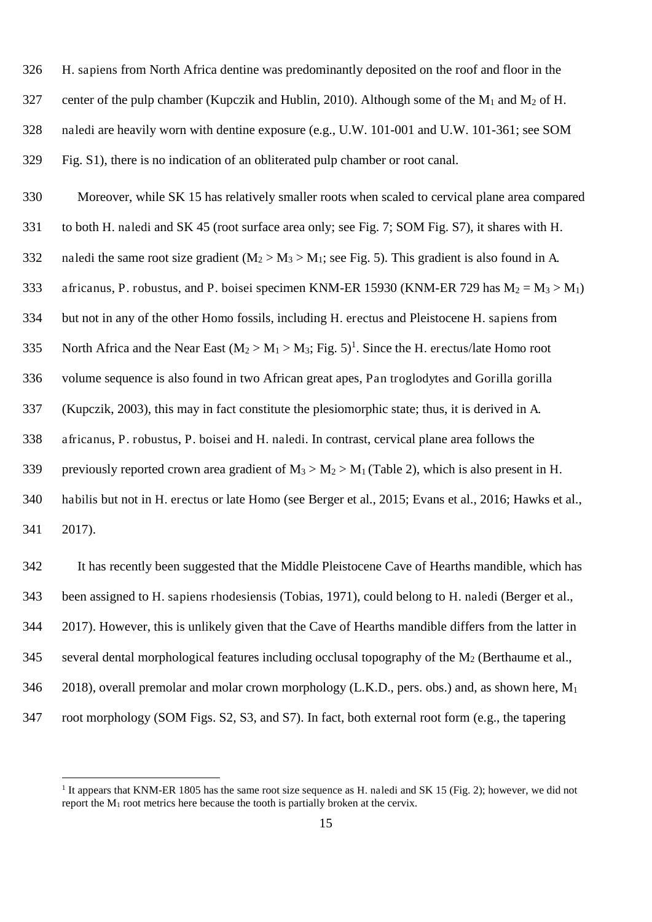326 H. sapiens from North Africa dentine was predominantly deposited on the roof and floor in the

327 center of the pulp chamber (Kupczik and Hublin, 2010). Although some of the M<sub>1</sub> and M<sub>2</sub> of H.

328 naledi are heavily worn with dentine exposure (e.g., U.W. 101-001 and U.W. 101-361; see SOM

329 Fig. S1), there is no indication of an obliterated pulp chamber or root canal.

330 Moreover, while SK 15 has relatively smaller roots when scaled to cervical plane area compared 331 to both H. naledi and SK 45 (root surface area only; see Fig. 7; SOM Fig. S7), it shares with H.

332 naledi the same root size gradient  $(M_2 > M_3 > M_1)$ ; see Fig. 5). This gradient is also found in A.

333 africanus, P. robustus, and P. boisei specimen KNM-ER 15930 (KNM-ER 729 has  $M_2 = M_3 > M_1$ )

334 but not in any of the other Homo fossils, including H. erectus and Pleistocene H. sapiens from

335 North Africa and the Near East  $(M_2 > M_1 > M_3; Fig. 5)^1$ . Since the H. erectus/late Homo root

336 volume sequence is also found in two African great apes, Pan troglodytes and Gorilla gorilla

337 (Kupczik, 2003), this may in fact constitute the plesiomorphic state; thus, it is derived in A.

338 africanus, P. robustus, P. boisei and H. naledi. In contrast, cervical plane area follows the

339 previously reported crown area gradient of  $M_3 > M_2 > M_1$  (Table 2), which is also present in H.

340 habilis but not in H. erectus or late Homo (see Berger et al., 2015; Evans et al., 2016; Hawks et al., 341 2017).

342 It has recently been suggested that the Middle Pleistocene Cave of Hearths mandible, which has 343 been assigned to H. sapiens rhodesiensis (Tobias, 1971), could belong to H. naledi (Berger et al., 344 2017). However, this is unlikely given that the Cave of Hearths mandible differs from the latter in 345 several dental morphological features including occlusal topography of the  $M_2$  (Berthaume et al., 346 2018), overall premolar and molar crown morphology (L.K.D., pers. obs.) and, as shown here,  $M_1$ 347 root morphology (SOM Figs. S2, S3, and S7). In fact, both external root form (e.g., the tapering

<u>.</u>

<sup>&</sup>lt;sup>1</sup> It appears that KNM-ER 1805 has the same root size sequence as H. naledi and SK 15 (Fig. 2); however, we did not report the  $M_1$  root metrics here because the tooth is partially broken at the cervix.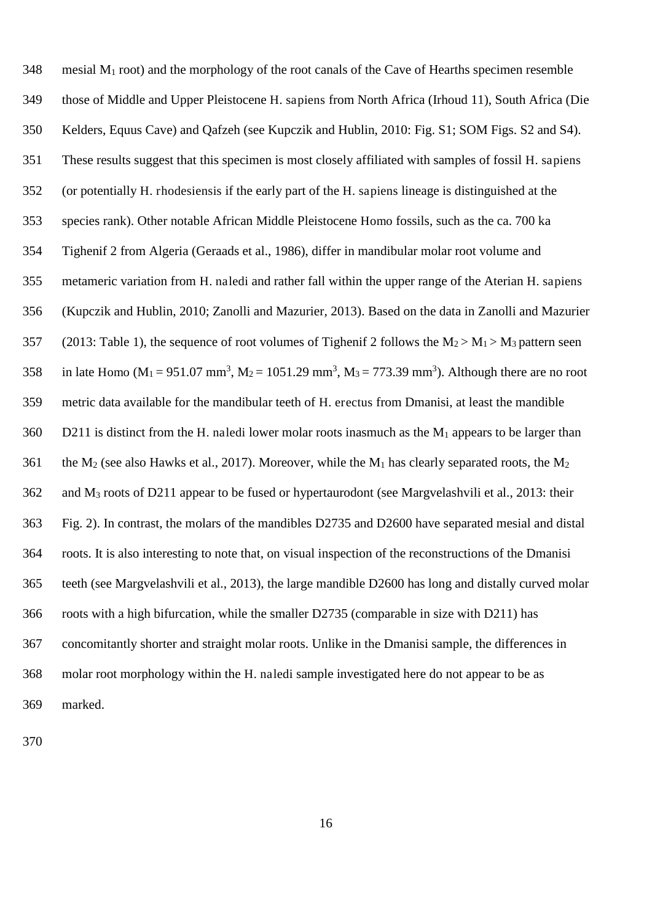$348$  mesial M<sub>1</sub> root) and the morphology of the root canals of the Cave of Hearths specimen resemble 349 those of Middle and Upper Pleistocene H. sapiens from North Africa (Irhoud 11), South Africa (Die 350 Kelders, Equus Cave) and Qafzeh (see Kupczik and Hublin, 2010: Fig. S1; SOM Figs. S2 and S4). 351 These results suggest that this specimen is most closely affiliated with samples of fossil H. sapiens 352 (or potentially H. rhodesiensis if the early part of the H. sapiens lineage is distinguished at the 353 species rank). Other notable African Middle Pleistocene Homo fossils, such as the ca. 700 ka 354 Tighenif 2 from Algeria (Geraads et al., 1986), differ in mandibular molar root volume and 355 metameric variation from H. naledi and rather fall within the upper range of the Aterian H. sapiens 356 (Kupczik and Hublin, 2010; Zanolli and Mazurier, 2013). Based on the data in Zanolli and Mazurier 357 (2013: Table 1), the sequence of root volumes of Tighenif 2 follows the  $M_2 > M_1 > M_3$  pattern seen 358 in late Homo (M<sub>1</sub> = 951.07 mm<sup>3</sup>, M<sub>2</sub> = 1051.29 mm<sup>3</sup>, M<sub>3</sub> = 773.39 mm<sup>3</sup>). Although there are no root 359 metric data available for the mandibular teeth of H. erectus from Dmanisi, at least the mandible  $360$  D211 is distinct from the H. naledi lower molar roots inasmuch as the M<sub>1</sub> appears to be larger than 361 the M<sub>2</sub> (see also Hawks et al., 2017). Moreover, while the M<sub>1</sub> has clearly separated roots, the M<sub>2</sub> 362 and M3 roots of D211 appear to be fused or hypertaurodont (see Margvelashvili et al., 2013: their 363 Fig. 2). In contrast, the molars of the mandibles D2735 and D2600 have separated mesial and distal 364 roots. It is also interesting to note that, on visual inspection of the reconstructions of the Dmanisi 365 teeth (see Margvelashvili et al., 2013), the large mandible D2600 has long and distally curved molar 366 roots with a high bifurcation, while the smaller D2735 (comparable in size with D211) has 367 concomitantly shorter and straight molar roots. Unlike in the Dmanisi sample, the differences in 368 molar root morphology within the H. naledi sample investigated here do not appear to be as 369 marked.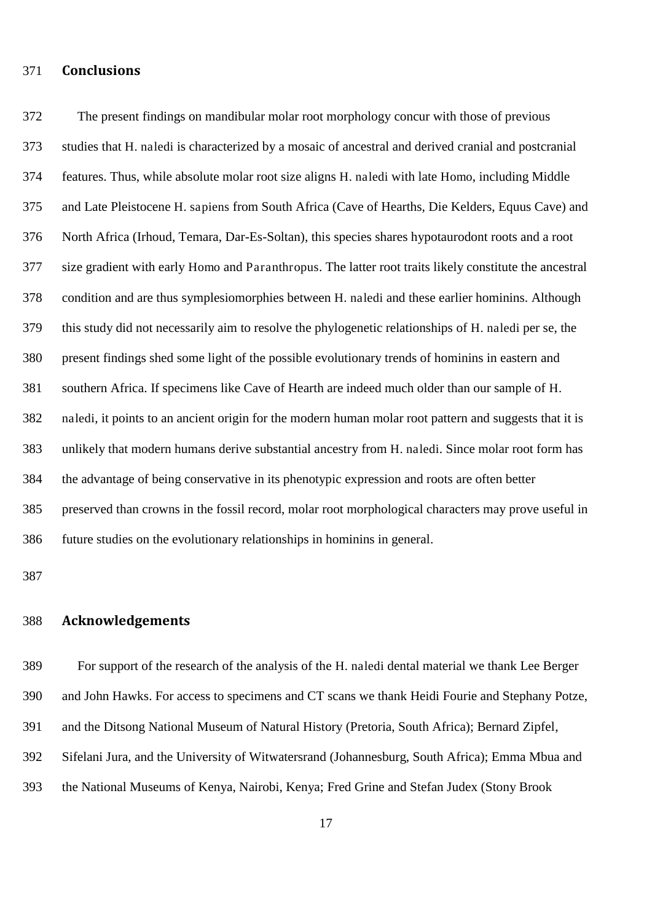#### 371 **Conclusions**

372 The present findings on mandibular molar root morphology concur with those of previous 373 studies that H. naledi is characterized by a mosaic of ancestral and derived cranial and postcranial 374 features. Thus, while absolute molar root size aligns H. naledi with late Homo, including Middle 375 and Late Pleistocene H. sapiens from South Africa (Cave of Hearths, Die Kelders, Equus Cave) and 376 North Africa (Irhoud, Temara, Dar-Es-Soltan), this species shares hypotaurodont roots and a root 377 size gradient with early Homo and Paranthropus. The latter root traits likely constitute the ancestral 378 condition and are thus symplesiomorphies between H. naledi and these earlier hominins. Although 379 this study did not necessarily aim to resolve the phylogenetic relationships of H. naledi per se, the 380 present findings shed some light of the possible evolutionary trends of hominins in eastern and 381 southern Africa. If specimens like Cave of Hearth are indeed much older than our sample of H. 382 naledi, it points to an ancient origin for the modern human molar root pattern and suggests that it is 383 unlikely that modern humans derive substantial ancestry from H. naledi. Since molar root form has 384 the advantage of being conservative in its phenotypic expression and roots are often better 385 preserved than crowns in the fossil record, molar root morphological characters may prove useful in 386 future studies on the evolutionary relationships in hominins in general.

387

#### 388 **Acknowledgements**

389 For support of the research of the analysis of the H. naledi dental material we thank Lee Berger 390 and John Hawks. For access to specimens and CT scans we thank Heidi Fourie and Stephany Potze, 391 and the Ditsong National Museum of Natural History (Pretoria, South Africa); Bernard Zipfel, 392 Sifelani Jura, and the University of Witwatersrand (Johannesburg, South Africa); Emma Mbua and 393 the National Museums of Kenya, Nairobi, Kenya; Fred Grine and Stefan Judex (Stony Brook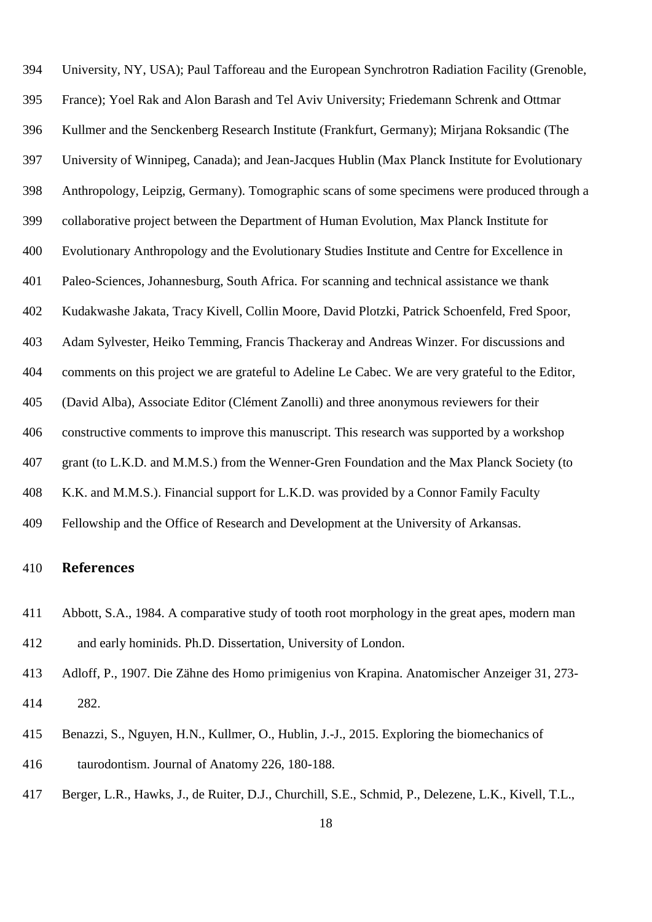394 University, NY, USA); Paul Tafforeau and the European Synchrotron Radiation Facility (Grenoble, 395 France); Yoel Rak and Alon Barash and Tel Aviv University; Friedemann Schrenk and Ottmar 396 Kullmer and the Senckenberg Research Institute (Frankfurt, Germany); Mirjana Roksandic (The 397 University of Winnipeg, Canada); and Jean-Jacques Hublin (Max Planck Institute for Evolutionary 398 Anthropology, Leipzig, Germany). Tomographic scans of some specimens were produced through a 399 collaborative project between the Department of Human Evolution, Max Planck Institute for 400 Evolutionary Anthropology and the Evolutionary Studies Institute and Centre for Excellence in 401 Paleo-Sciences, Johannesburg, South Africa. For scanning and technical assistance we thank 402 Kudakwashe Jakata, Tracy Kivell, Collin Moore, David Plotzki, Patrick Schoenfeld, Fred Spoor, 403 Adam Sylvester, Heiko Temming, Francis Thackeray and Andreas Winzer. For discussions and 404 comments on this project we are grateful to Adeline Le Cabec. We are very grateful to the Editor, 405 (David Alba), Associate Editor (Clément Zanolli) and three anonymous reviewers for their 406 constructive comments to improve this manuscript. This research was supported by a workshop 407 grant (to L.K.D. and M.M.S.) from the Wenner-Gren Foundation and the Max Planck Society (to 408 K.K. and M.M.S.). Financial support for L.K.D. was provided by a Connor Family Faculty 409 Fellowship and the Office of Research and Development at the University of Arkansas.

#### 410 **References**

- 411 Abbott, S.A., 1984. A comparative study of tooth root morphology in the great apes, modern man 412 and early hominids. Ph.D. Dissertation, University of London.
- 413 Adloff, P., 1907. Die Zähne des Homo primigenius von Krapina. Anatomischer Anzeiger 31, 273- 414 282.
- 415 Benazzi, S., Nguyen, H.N., Kullmer, O., Hublin, J.-J., 2015. Exploring the biomechanics of 416 taurodontism. Journal of Anatomy 226, 180-188.
- 417 Berger, L.R., Hawks, J., de Ruiter, D.J., Churchill, S.E., Schmid, P., Delezene, L.K., Kivell, T.L.,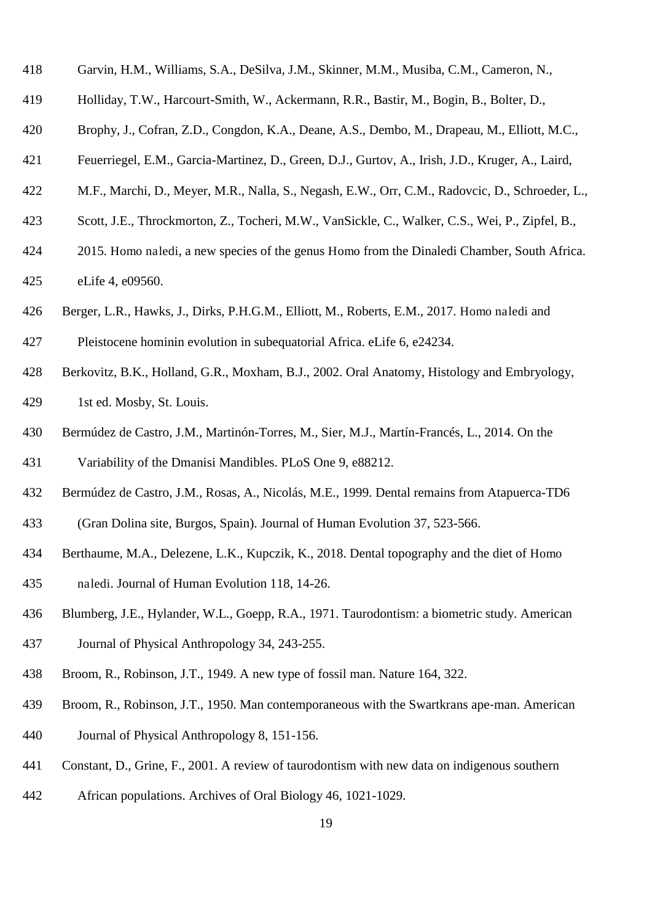- 418 Garvin, H.M., Williams, S.A., DeSilva, J.M., Skinner, M.M., Musiba, C.M., Cameron, N.,
- 419 Holliday, T.W., Harcourt-Smith, W., Ackermann, R.R., Bastir, M., Bogin, B., Bolter, D.,
- 420 Brophy, J., Cofran, Z.D., Congdon, K.A., Deane, A.S., Dembo, M., Drapeau, M., Elliott, M.C.,
- 421 Feuerriegel, E.M., Garcia-Martinez, D., Green, D.J., Gurtov, A., Irish, J.D., Kruger, A., Laird,
- 422 M.F., Marchi, D., Meyer, M.R., Nalla, S., Negash, E.W., Orr, C.M., Radovcic, D., Schroeder, L.,
- 423 Scott, J.E., Throckmorton, Z., Tocheri, M.W., VanSickle, C., Walker, C.S., Wei, P., Zipfel, B.,
- 424 2015. Homo naledi, a new species of the genus Homo from the Dinaledi Chamber, South Africa. 425 eLife 4, e09560.
- 426 Berger, L.R., Hawks, J., Dirks, P.H.G.M., Elliott, M., Roberts, E.M., 2017. Homo naledi and
- 427 Pleistocene hominin evolution in subequatorial Africa. eLife 6, e24234.
- 428 Berkovitz, B.K., Holland, G.R., Moxham, B.J., 2002. Oral Anatomy, Histology and Embryology, 429 1st ed. Mosby, St. Louis.
- 430 Bermúdez de Castro, J.M., Martinón-Torres, M., Sier, M.J., Martín-Francés, L., 2014. On the 431 Variability of the Dmanisi Mandibles. PLoS One 9, e88212.
- 432 Bermúdez de Castro, J.M., Rosas, A., Nicolás, M.E., 1999. Dental remains from Atapuerca-TD6
- 433 (Gran Dolina site, Burgos, Spain). Journal of Human Evolution 37, 523-566.
- 434 Berthaume, M.A., Delezene, L.K., Kupczik, K., 2018. Dental topography and the diet of Homo
- 435 naledi. Journal of Human Evolution 118, 14-26.
- 436 Blumberg, J.E., Hylander, W.L., Goepp, R.A., 1971. Taurodontism: a biometric study. American 437 Journal of Physical Anthropology 34, 243-255.
- 438 Broom, R., Robinson, J.T., 1949. A new type of fossil man. Nature 164, 322.
- 439 Broom, R., Robinson, J.T., 1950. Man contemporaneous with the Swartkrans ape‐man. American
- 440 Journal of Physical Anthropology 8, 151-156.
- 441 Constant, D., Grine, F., 2001. A review of taurodontism with new data on indigenous southern
- 442 African populations. Archives of Oral Biology 46, 1021-1029.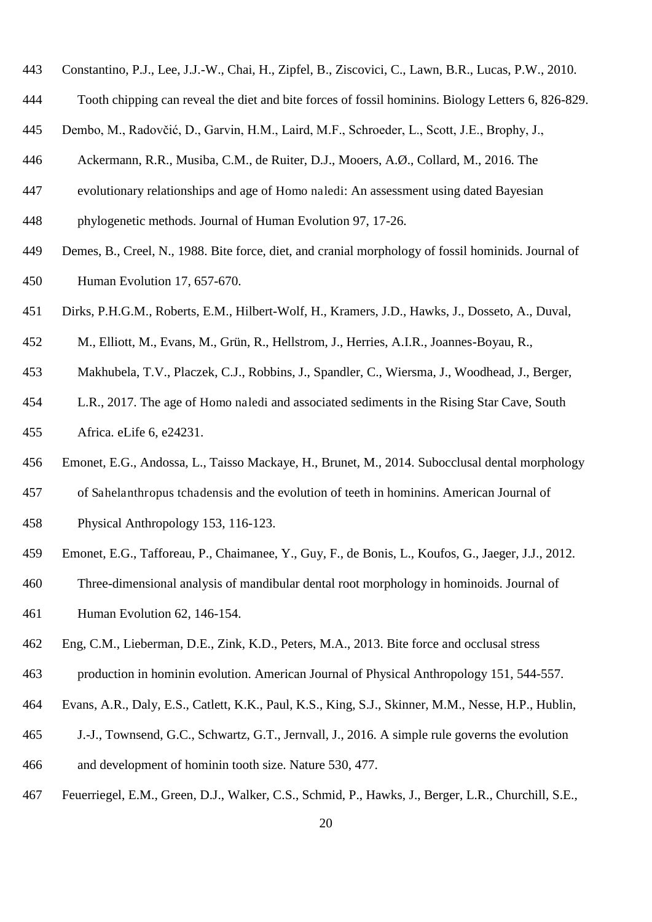- 443 Constantino, P.J., Lee, J.J.-W., Chai, H., Zipfel, B., Ziscovici, C., Lawn, B.R., Lucas, P.W., 2010.
- 444 Tooth chipping can reveal the diet and bite forces of fossil hominins. Biology Letters 6, 826-829.
- 445 Dembo, M., Radovčić, D., Garvin, H.M., Laird, M.F., Schroeder, L., Scott, J.E., Brophy, J.,
- 446 Ackermann, R.R., Musiba, C.M., de Ruiter, D.J., Mooers, A.Ø., Collard, M., 2016. The
- 447 evolutionary relationships and age of Homo naledi: An assessment using dated Bayesian
- 448 phylogenetic methods. Journal of Human Evolution 97, 17-26.
- 449 Demes, B., Creel, N., 1988. Bite force, diet, and cranial morphology of fossil hominids. Journal of 450 Human Evolution 17, 657-670.
- 451 Dirks, P.H.G.M., Roberts, E.M., Hilbert-Wolf, H., Kramers, J.D., Hawks, J., Dosseto, A., Duval,
- 452 M., Elliott, M., Evans, M., Grün, R., Hellstrom, J., Herries, A.I.R., Joannes-Boyau, R.,
- 453 Makhubela, T.V., Placzek, C.J., Robbins, J., Spandler, C., Wiersma, J., Woodhead, J., Berger,
- 454 L.R., 2017. The age of Homo naledi and associated sediments in the Rising Star Cave, South 455 Africa. eLife 6, e24231.
- 456 Emonet, E.G., Andossa, L., Taisso Mackaye, H., Brunet, M., 2014. Subocclusal dental morphology
- 457 of Sahelanthropus tchadensis and the evolution of teeth in hominins. American Journal of
- 458 Physical Anthropology 153, 116-123.
- 459 Emonet, E.G., Tafforeau, P., Chaimanee, Y., Guy, F., de Bonis, L., Koufos, G., Jaeger, J.J., 2012.
- 460 Three-dimensional analysis of mandibular dental root morphology in hominoids. Journal of 461 Human Evolution 62, 146-154.
- 462 Eng, C.M., Lieberman, D.E., Zink, K.D., Peters, M.A., 2013. Bite force and occlusal stress
- 463 production in hominin evolution. American Journal of Physical Anthropology 151, 544-557.
- 464 Evans, A.R., Daly, E.S., Catlett, K.K., Paul, K.S., King, S.J., Skinner, M.M., Nesse, H.P., Hublin,
- 465 J.-J., Townsend, G.C., Schwartz, G.T., Jernvall, J., 2016. A simple rule governs the evolution
- 466 and development of hominin tooth size. Nature 530, 477.
- 467 Feuerriegel, E.M., Green, D.J., Walker, C.S., Schmid, P., Hawks, J., Berger, L.R., Churchill, S.E.,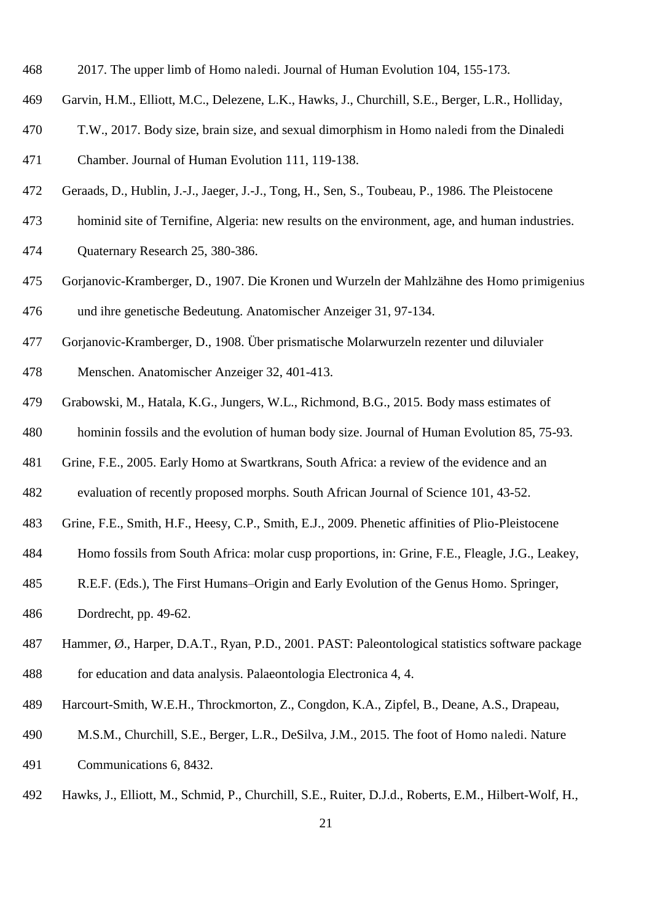- 468 2017. The upper limb of Homo naledi. Journal of Human Evolution 104, 155-173.
- 469 Garvin, H.M., Elliott, M.C., Delezene, L.K., Hawks, J., Churchill, S.E., Berger, L.R., Holliday,
- 470 T.W., 2017. Body size, brain size, and sexual dimorphism in Homo naledi from the Dinaledi
- 471 Chamber. Journal of Human Evolution 111, 119-138.
- 472 Geraads, D., Hublin, J.-J., Jaeger, J.-J., Tong, H., Sen, S., Toubeau, P., 1986. The Pleistocene
- 473 hominid site of Ternifine, Algeria: new results on the environment, age, and human industries.
- 474 Quaternary Research 25, 380-386.
- 475 Gorjanovic-Kramberger, D., 1907. Die Kronen und Wurzeln der Mahlzähne des Homo primigenius 476 und ihre genetische Bedeutung. Anatomischer Anzeiger 31, 97-134.
- 477 Gorjanovic-Kramberger, D., 1908. Über prismatische Molarwurzeln rezenter und diluvialer
- 478 Menschen. Anatomischer Anzeiger 32, 401-413.
- 479 Grabowski, M., Hatala, K.G., Jungers, W.L., Richmond, B.G., 2015. Body mass estimates of
- 480 hominin fossils and the evolution of human body size. Journal of Human Evolution 85, 75-93.
- 481 Grine, F.E., 2005. Early Homo at Swartkrans, South Africa: a review of the evidence and an
- 482 evaluation of recently proposed morphs. South African Journal of Science 101, 43-52.
- 483 Grine, F.E., Smith, H.F., Heesy, C.P., Smith, E.J., 2009. Phenetic affinities of Plio-Pleistocene
- 484 Homo fossils from South Africa: molar cusp proportions, in: Grine, F.E., Fleagle, J.G., Leakey,
- 485 R.E.F. (Eds.), The First Humans–Origin and Early Evolution of the Genus Homo. Springer,
- 486 Dordrecht, pp. 49-62.
- 487 Hammer, Ø., Harper, D.A.T., Ryan, P.D., 2001. PAST: Paleontological statistics software package 488 for education and data analysis. Palaeontologia Electronica 4, 4.
- 489 Harcourt-Smith, W.E.H., Throckmorton, Z., Congdon, K.A., Zipfel, B., Deane, A.S., Drapeau,
- 490 M.S.M., Churchill, S.E., Berger, L.R., DeSilva, J.M., 2015. The foot of Homo naledi. Nature 491 Communications 6, 8432.
- 492 Hawks, J., Elliott, M., Schmid, P., Churchill, S.E., Ruiter, D.J.d., Roberts, E.M., Hilbert-Wolf, H.,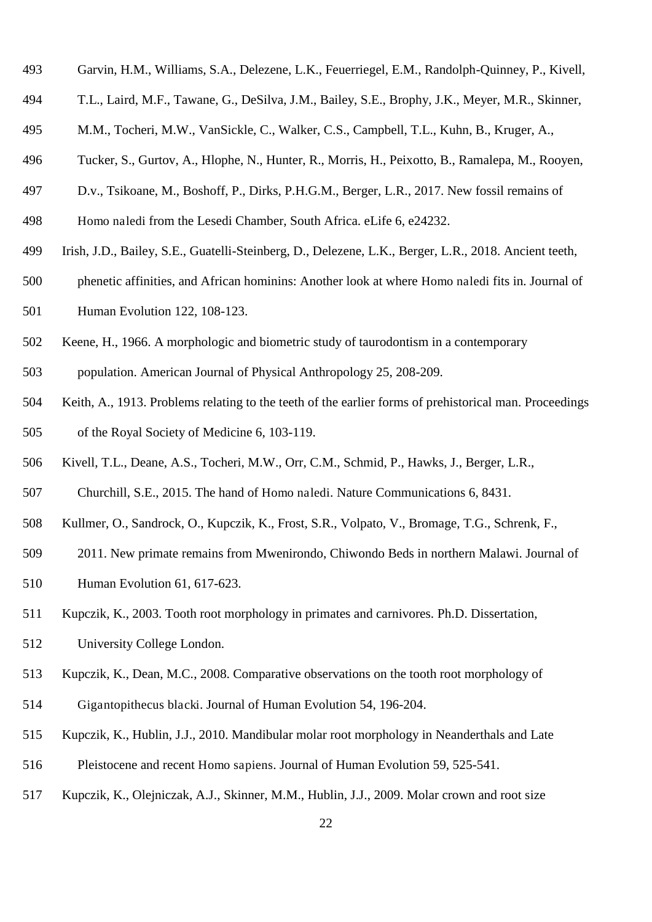- 493 Garvin, H.M., Williams, S.A., Delezene, L.K., Feuerriegel, E.M., Randolph-Quinney, P., Kivell,
- 494 T.L., Laird, M.F., Tawane, G., DeSilva, J.M., Bailey, S.E., Brophy, J.K., Meyer, M.R., Skinner,
- 495 M.M., Tocheri, M.W., VanSickle, C., Walker, C.S., Campbell, T.L., Kuhn, B., Kruger, A.,
- 496 Tucker, S., Gurtov, A., Hlophe, N., Hunter, R., Morris, H., Peixotto, B., Ramalepa, M., Rooyen,
- 497 D.v., Tsikoane, M., Boshoff, P., Dirks, P.H.G.M., Berger, L.R., 2017. New fossil remains of
- 498 Homo naledi from the Lesedi Chamber, South Africa. eLife 6, e24232.
- 499 Irish, J.D., Bailey, S.E., Guatelli-Steinberg, D., Delezene, L.K., Berger, L.R., 2018. Ancient teeth,
- 500 phenetic affinities, and African hominins: Another look at where Homo naledi fits in. Journal of
- 501 Human Evolution 122, 108-123.
- 502 Keene, H., 1966. A morphologic and biometric study of taurodontism in a contemporary
- 503 population. American Journal of Physical Anthropology 25, 208-209.
- 504 Keith, A., 1913. Problems relating to the teeth of the earlier forms of prehistorical man. Proceedings 505 of the Royal Society of Medicine 6, 103-119.
- 506 Kivell, T.L., Deane, A.S., Tocheri, M.W., Orr, C.M., Schmid, P., Hawks, J., Berger, L.R.,
- 507 Churchill, S.E., 2015. The hand of Homo naledi. Nature Communications 6, 8431.
- 508 Kullmer, O., Sandrock, O., Kupczik, K., Frost, S.R., Volpato, V., Bromage, T.G., Schrenk, F.,
- 509 2011. New primate remains from Mwenirondo, Chiwondo Beds in northern Malawi. Journal of
- 510 Human Evolution 61, 617-623.
- 511 Kupczik, K., 2003. Tooth root morphology in primates and carnivores. Ph.D. Dissertation,
- 512 University College London.
- 513 Kupczik, K., Dean, M.C., 2008. Comparative observations on the tooth root morphology of
- 514 Gigantopithecus blacki. Journal of Human Evolution 54, 196-204.
- 515 Kupczik, K., Hublin, J.J., 2010. Mandibular molar root morphology in Neanderthals and Late
- 516 Pleistocene and recent Homo sapiens. Journal of Human Evolution 59, 525-541.
- 517 Kupczik, K., Olejniczak, A.J., Skinner, M.M., Hublin, J.J., 2009. Molar crown and root size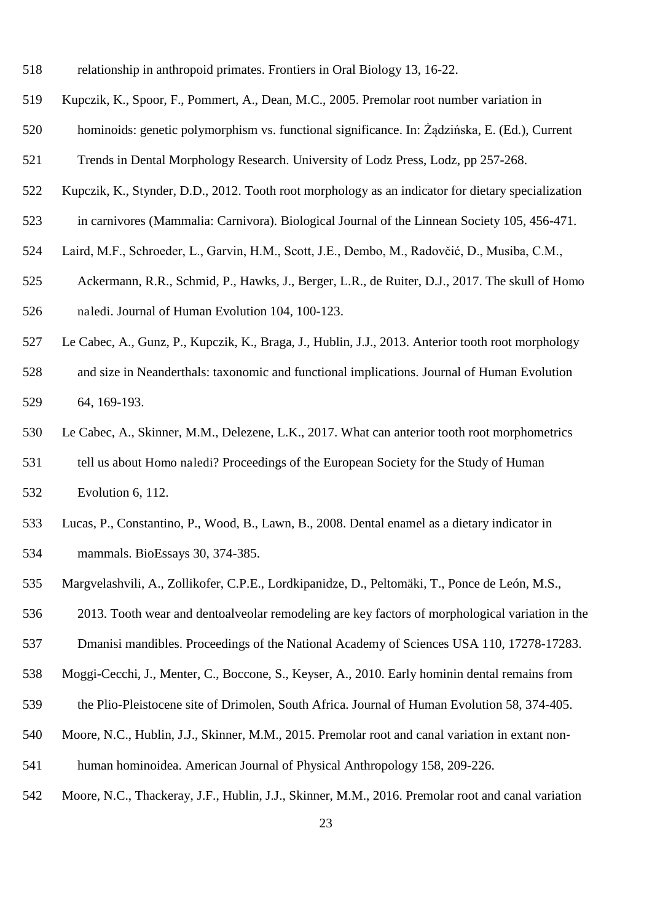- 518 relationship in anthropoid primates. Frontiers in Oral Biology 13, 16-22.
- 519 Kupczik, K., Spoor, F., Pommert, A., Dean, M.C., 2005. Premolar root number variation in
- 520 hominoids: genetic polymorphism vs. functional significance. In: Żądzińska, E. (Ed.), Current
- 521 Trends in Dental Morphology Research. University of Lodz Press, Lodz, pp 257-268.
- 522 Kupczik, K., Stynder, D.D., 2012. Tooth root morphology as an indicator for dietary specialization
- 523 in carnivores (Mammalia: Carnivora). Biological Journal of the Linnean Society 105, 456-471.
- 524 Laird, M.F., Schroeder, L., Garvin, H.M., Scott, J.E., Dembo, M., Radovčić, D., Musiba, C.M.,
- 525 Ackermann, R.R., Schmid, P., Hawks, J., Berger, L.R., de Ruiter, D.J., 2017. The skull of Homo 526 naledi. Journal of Human Evolution 104, 100-123.
- 527 Le Cabec, A., Gunz, P., Kupczik, K., Braga, J., Hublin, J.J., 2013. Anterior tooth root morphology
- 528 and size in Neanderthals: taxonomic and functional implications. Journal of Human Evolution 529 64, 169-193.
- 530 Le Cabec, A., Skinner, M.M., Delezene, L.K., 2017. What can anterior tooth root morphometrics 531 tell us about Homo naledi? Proceedings of the European Society for the Study of Human 532 Evolution 6, 112.
- 533 Lucas, P., Constantino, P., Wood, B., Lawn, B., 2008. Dental enamel as a dietary indicator in 534 mammals. BioEssays 30, 374-385.
- 535 Margvelashvili, A., Zollikofer, C.P.E., Lordkipanidze, D., Peltomäki, T., Ponce de León, M.S.,
- 536 2013. Tooth wear and dentoalveolar remodeling are key factors of morphological variation in the
- 537 Dmanisi mandibles. Proceedings of the National Academy of Sciences USA 110, 17278-17283.
- 538 Moggi-Cecchi, J., Menter, C., Boccone, S., Keyser, A., 2010. Early hominin dental remains from
- 539 the Plio-Pleistocene site of Drimolen, South Africa. Journal of Human Evolution 58, 374-405.
- 540 Moore, N.C., Hublin, J.J., Skinner, M.M., 2015. Premolar root and canal variation in extant non‐
- 541 human hominoidea. American Journal of Physical Anthropology 158, 209-226.
- 542 Moore, N.C., Thackeray, J.F., Hublin, J.J., Skinner, M.M., 2016. Premolar root and canal variation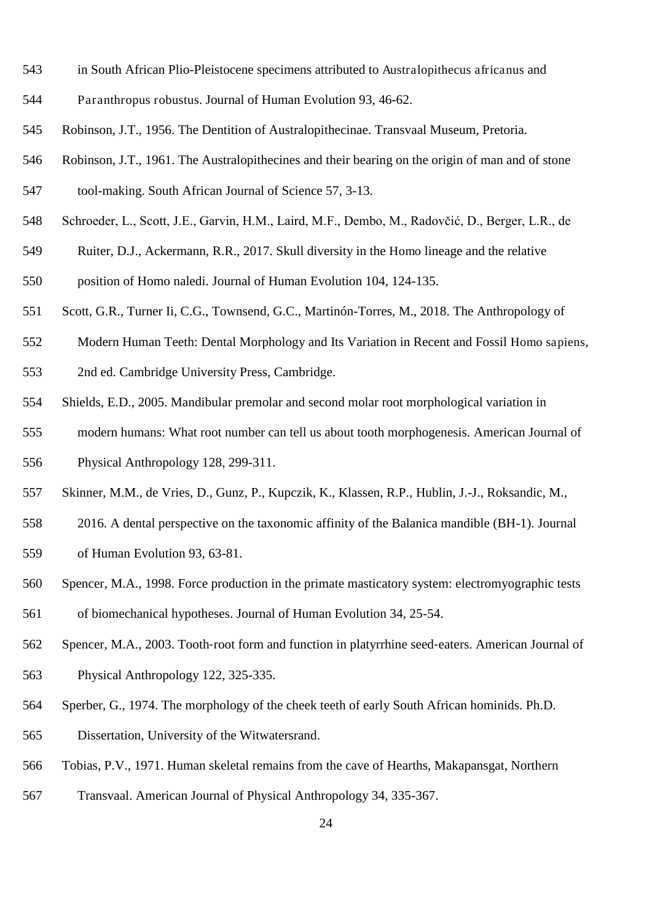- 543 in South African Plio-Pleistocene specimens attributed to Australopithecus africanus and
- 544 Paranthropus robustus. Journal of Human Evolution 93, 46-62.
- 545 Robinson, J.T., 1956. The Dentition of Australopithecinae. Transvaal Museum, Pretoria.
- 546 Robinson, J.T., 1961. The Australopithecines and their bearing on the origin of man and of stone 547 tool-making. South African Journal of Science 57, 3-13.
- 548 Schroeder, L., Scott, J.E., Garvin, H.M., Laird, M.F., Dembo, M., Radovčić, D., Berger, L.R., de
- 549 Ruiter, D.J., Ackermann, R.R., 2017. Skull diversity in the Homo lineage and the relative
- 550 position of Homo naledi. Journal of Human Evolution 104, 124-135.
- 551 Scott, G.R., Turner Ii, C.G., Townsend, G.C., Martinón-Torres, M., 2018. The Anthropology of
- 552 Modern Human Teeth: Dental Morphology and Its Variation in Recent and Fossil Homo sapiens,
- 553 2nd ed. Cambridge University Press, Cambridge.
- 554 Shields, E.D., 2005. Mandibular premolar and second molar root morphological variation in
- 555 modern humans: What root number can tell us about tooth morphogenesis. American Journal of
- 556 Physical Anthropology 128, 299-311.
- 557 Skinner, M.M., de Vries, D., Gunz, P., Kupczik, K., Klassen, R.P., Hublin, J.-J., Roksandic, M.,
- 558 2016. A dental perspective on the taxonomic affinity of the Balanica mandible (BH-1). Journal
- 559 of Human Evolution 93, 63-81.
- 560 Spencer, M.A., 1998. Force production in the primate masticatory system: electromyographic tests 561 of biomechanical hypotheses. Journal of Human Evolution 34, 25-54.
- 562 Spencer, M.A., 2003. Tooth‐root form and function in platyrrhine seed‐eaters. American Journal of
- 563 Physical Anthropology 122, 325-335.
- 564 Sperber, G., 1974. The morphology of the cheek teeth of early South African hominids. Ph.D.
- 565 Dissertation, University of the Witwatersrand.
- 566 Tobias, P.V., 1971. Human skeletal remains from the cave of Hearths, Makapansgat, Northern
- 567 Transvaal. American Journal of Physical Anthropology 34, 335-367.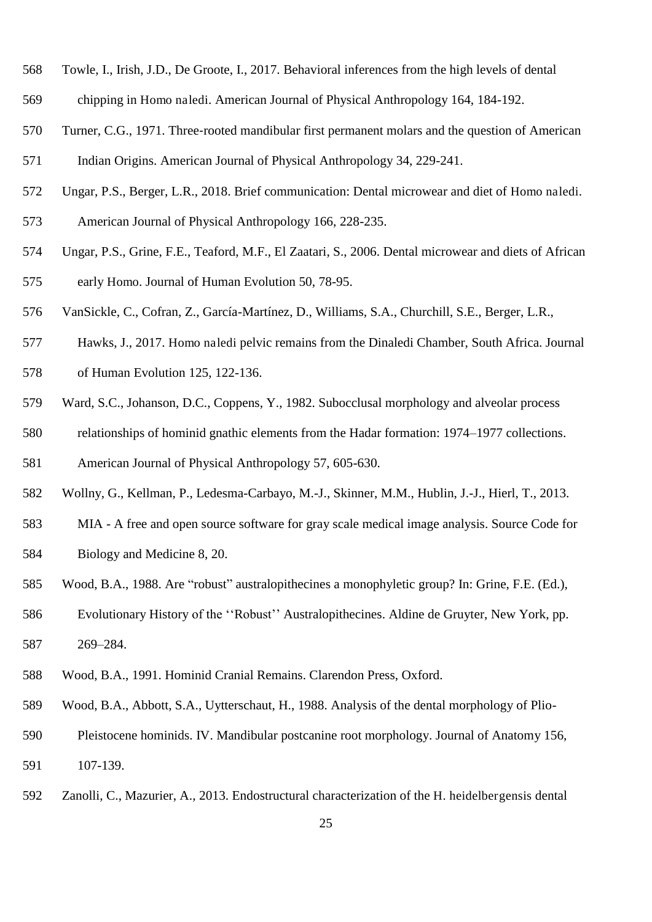- 568 Towle, I., Irish, J.D., De Groote, I., 2017. Behavioral inferences from the high levels of dental
- 569 chipping in Homo naledi. American Journal of Physical Anthropology 164, 184-192.
- 570 Turner, C.G., 1971. Three-rooted mandibular first permanent molars and the question of American
- 571 Indian Origins. American Journal of Physical Anthropology 34, 229-241.
- 572 Ungar, P.S., Berger, L.R., 2018. Brief communication: Dental microwear and diet of Homo naledi.
- 573 American Journal of Physical Anthropology 166, 228-235.
- 574 Ungar, P.S., Grine, F.E., Teaford, M.F., El Zaatari, S., 2006. Dental microwear and diets of African 575 early Homo. Journal of Human Evolution 50, 78-95.
- 576 VanSickle, C., Cofran, Z., García-Martínez, D., Williams, S.A., Churchill, S.E., Berger, L.R.,
- 577 Hawks, J., 2017. Homo naledi pelvic remains from the Dinaledi Chamber, South Africa. Journal
- 578 of Human Evolution 125, 122-136.
- 579 Ward, S.C., Johanson, D.C., Coppens, Y., 1982. Subocclusal morphology and alveolar process
- 580 relationships of hominid gnathic elements from the Hadar formation: 1974–1977 collections.
- 581 American Journal of Physical Anthropology 57, 605-630.
- 582 Wollny, G., Kellman, P., Ledesma-Carbayo, M.-J., Skinner, M.M., Hublin, J.-J., Hierl, T., 2013.
- 583 MIA A free and open source software for gray scale medical image analysis. Source Code for 584 Biology and Medicine 8, 20.
- 585 Wood, B.A., 1988. Are "robust" australopithecines a monophyletic group? In: Grine, F.E. (Ed.),
- 586 Evolutionary History of the ''Robust'' Australopithecines. Aldine de Gruyter, New York, pp. 587 269–284.
- 588 Wood, B.A., 1991. Hominid Cranial Remains. Clarendon Press, Oxford.
- 589 Wood, B.A., Abbott, S.A., Uytterschaut, H., 1988. Analysis of the dental morphology of Plio-
- 590 Pleistocene hominids. IV. Mandibular postcanine root morphology. Journal of Anatomy 156, 591 107-139.
- 592 Zanolli, C., Mazurier, A., 2013. Endostructural characterization of the H. heidelbergensis dental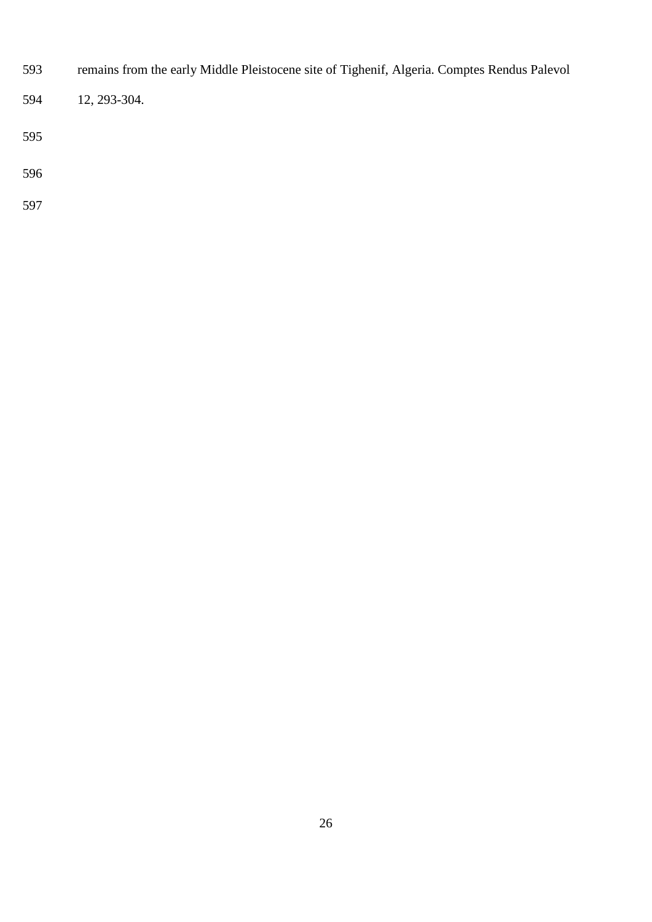- 593 remains from the early Middle Pleistocene site of Tighenif, Algeria. Comptes Rendus Palevol
- 594 12, 293-304.
- 
- 
- 
-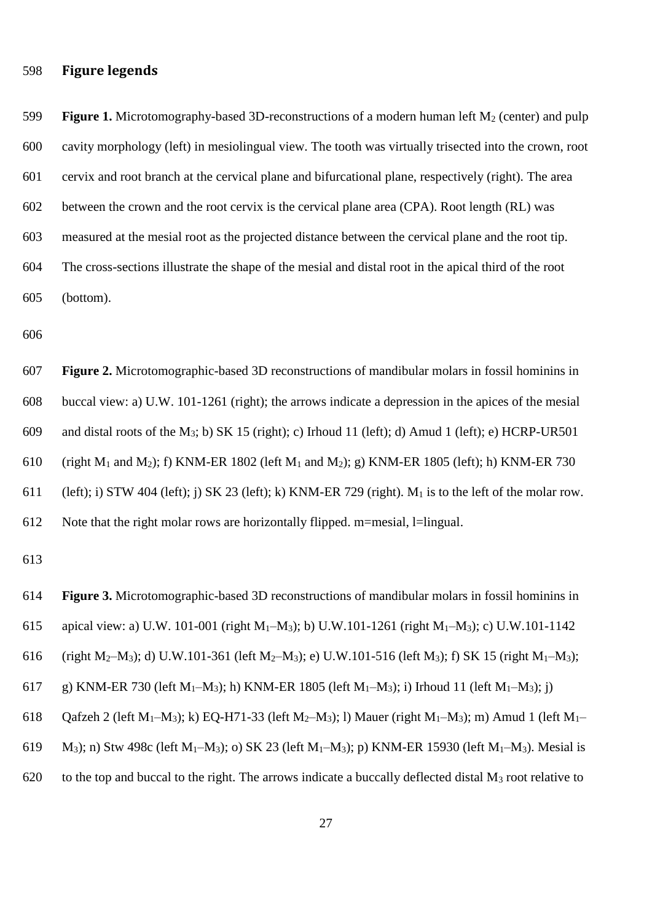#### 598 **Figure legends**

599 **Figure 1.** Microtomography-based 3D-reconstructions of a modern human left M<sub>2</sub> (center) and pulp 600 cavity morphology (left) in mesiolingual view. The tooth was virtually trisected into the crown, root 601 cervix and root branch at the cervical plane and bifurcational plane, respectively (right). The area 602 between the crown and the root cervix is the cervical plane area (CPA). Root length (RL) was 603 measured at the mesial root as the projected distance between the cervical plane and the root tip. 604 The cross-sections illustrate the shape of the mesial and distal root in the apical third of the root 605 (bottom).

606

607 **Figure 2.** Microtomographic-based 3D reconstructions of mandibular molars in fossil hominins in 608 buccal view: a) U.W. 101-1261 (right); the arrows indicate a depression in the apices of the mesial 609 and distal roots of the M3; b) SK 15 (right); c) Irhoud 11 (left); d) Amud 1 (left); e) HCRP-UR501 610 (right M<sub>1</sub> and M<sub>2</sub>); f) KNM-ER 1802 (left M<sub>1</sub> and M<sub>2</sub>); g) KNM-ER 1805 (left); h) KNM-ER 730 611 (left); i) STW 404 (left); j) SK 23 (left); k) KNM-ER 729 (right).  $M_1$  is to the left of the molar row. 612 Note that the right molar rows are horizontally flipped. m=mesial, l=lingual.

613

614 **Figure 3.** Microtomographic-based 3D reconstructions of mandibular molars in fossil hominins in

615 apical view: a) U.W. 101-001 (right M1–M3); b) U.W.101-1261 (right M1–M3); c) U.W.101-1142

616 (right M<sub>2</sub>–M<sub>3</sub>); d) U.W.101-361 (left M<sub>2</sub>–M<sub>3</sub>); e) U.W.101-516 (left M<sub>3</sub>); f) SK 15 (right M<sub>1</sub>–M<sub>3</sub>);

617 g) KNM-ER 730 (left M<sub>1</sub>–M<sub>3</sub>); h) KNM-ER 1805 (left M<sub>1</sub>–M<sub>3</sub>); i) Irhoud 11 (left M<sub>1</sub>–M<sub>3</sub>); j)

618 Qafzeh 2 (left M<sub>1</sub>–M<sub>3</sub>); k) EQ-H71-33 (left M<sub>2</sub>–M<sub>3</sub>); l) Mauer (right M<sub>1</sub>–M<sub>3</sub>); m) Amud 1 (left M<sub>1</sub>–

619 M<sub>3</sub>); n) Stw 498c (left M<sub>1</sub>–M<sub>3</sub>); o) SK 23 (left M<sub>1</sub>–M<sub>3</sub>); p) KNM-ER 15930 (left M<sub>1</sub>–M<sub>3</sub>). Mesial is

620 to the top and buccal to the right. The arrows indicate a buccally deflected distal  $M_3$  root relative to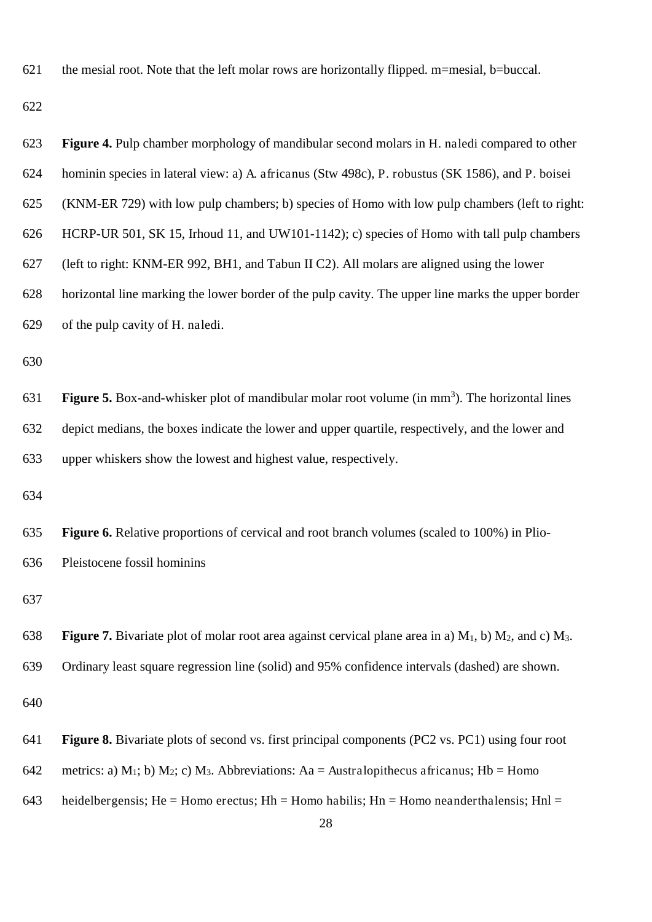621 the mesial root. Note that the left molar rows are horizontally flipped. m=mesial, b=buccal.

| 623 | Figure 4. Pulp chamber morphology of mandibular second molars in H. naledi compared to other                                   |
|-----|--------------------------------------------------------------------------------------------------------------------------------|
| 624 | hominin species in lateral view: a) A. africanus (Stw 498c), P. robustus (SK 1586), and P. boisei                              |
| 625 | (KNM-ER 729) with low pulp chambers; b) species of Homo with low pulp chambers (left to right:                                 |
| 626 | HCRP-UR 501, SK 15, Irhoud 11, and UW101-1142); c) species of Homo with tall pulp chambers                                     |
| 627 | (left to right: KNM-ER 992, BH1, and Tabun II C2). All molars are aligned using the lower                                      |
| 628 | horizontal line marking the lower border of the pulp cavity. The upper line marks the upper border                             |
| 629 | of the pulp cavity of H. naledi.                                                                                               |
| 630 |                                                                                                                                |
| 631 | <b>Figure 5.</b> Box-and-whisker plot of mandibular molar root volume (in mm <sup>3</sup> ). The horizontal lines              |
| 632 | depict medians, the boxes indicate the lower and upper quartile, respectively, and the lower and                               |
| 633 | upper whiskers show the lowest and highest value, respectively.                                                                |
| 634 |                                                                                                                                |
| 635 | <b>Figure 6.</b> Relative proportions of cervical and root branch volumes (scaled to 100%) in Plio-                            |
| 636 | Pleistocene fossil hominins                                                                                                    |
| 637 |                                                                                                                                |
| 638 | <b>Figure 7.</b> Bivariate plot of molar root area against cervical plane area in a) $M_1$ , b) $M_2$ , and c) $M_3$ .         |
| 639 | Ordinary least square regression line (solid) and 95% confidence intervals (dashed) are shown.                                 |
| 640 |                                                                                                                                |
| 641 | Figure 8. Bivariate plots of second vs. first principal components (PC2 vs. PC1) using four root                               |
| 642 | metrics: a) M <sub>1</sub> ; b) M <sub>2</sub> ; c) M <sub>3</sub> . Abbreviations: Aa = Australopithecus africanus; Hb = Homo |
| 643 | heidelbergensis; He = Homo erectus; Hh = Homo habilis; Hn = Homo neanderthalensis; Hnl =<br>$\Omega$                           |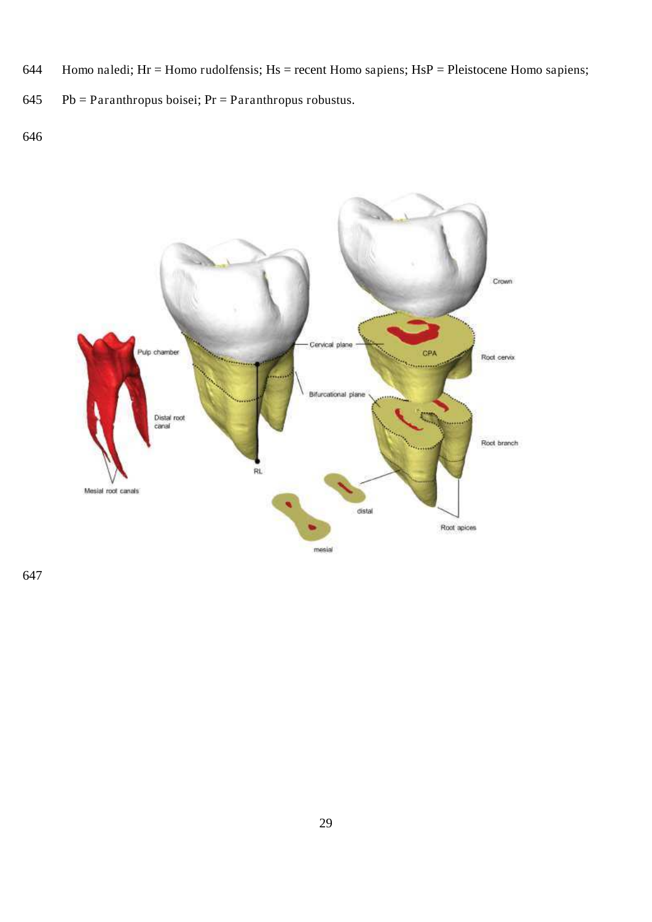- 644 Homo naledi; Hr = Homo rudolfensis; Hs = recent Homo sapiens; HsP = Pleistocene Homo sapiens;
- 645 Pb = Paranthropus boisei; Pr = Paranthropus robustus.
- 646



647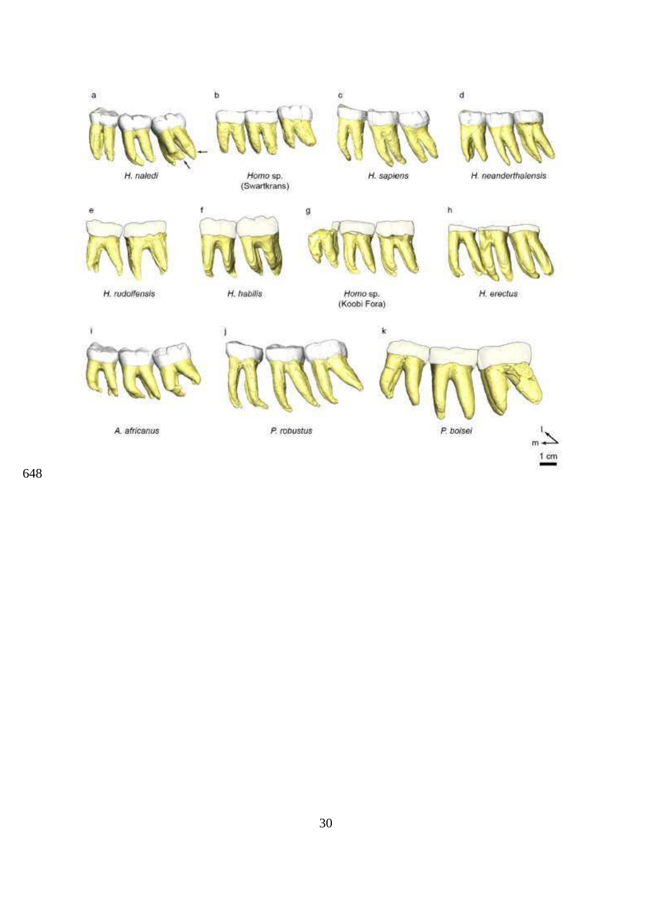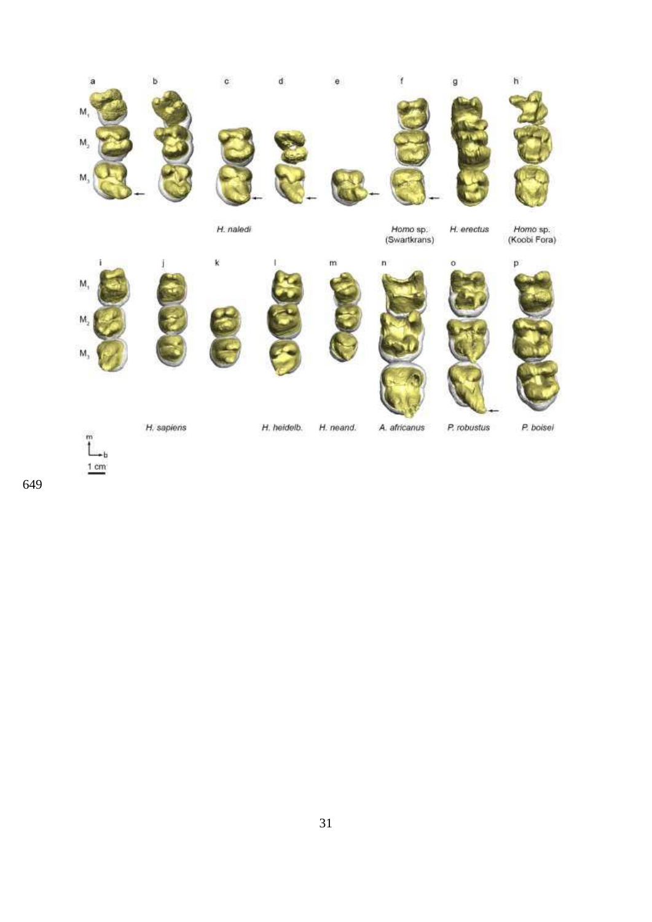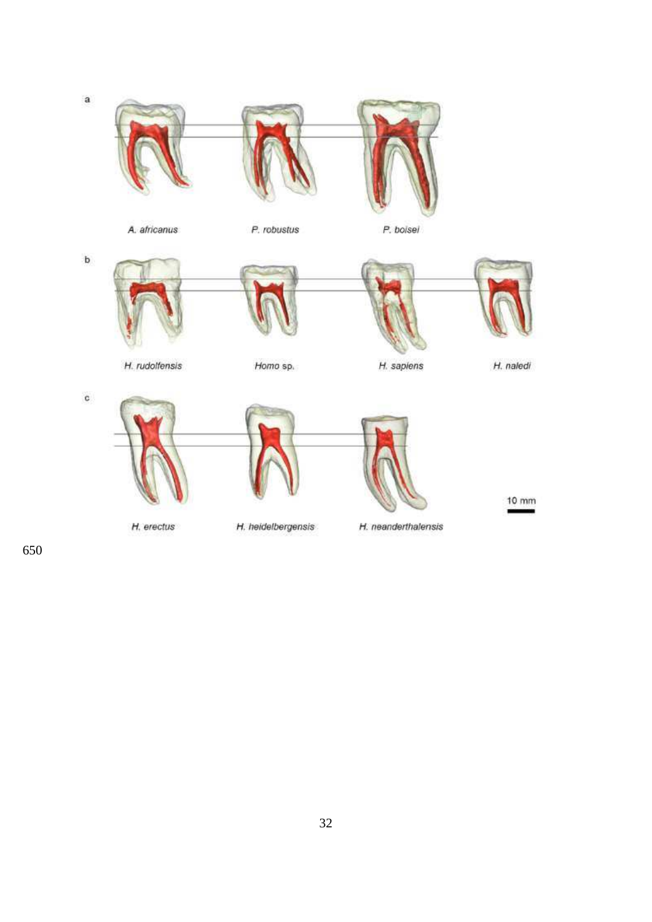

A. africanus

P. robustus

P. boisei



 $\mathsf b$ 

 $\mathbf c$ 







H. rudolfensis

Homo sp.

H. sapiens

H. naledi

10 mm





H. heidelbergensis

H. neanderthalensis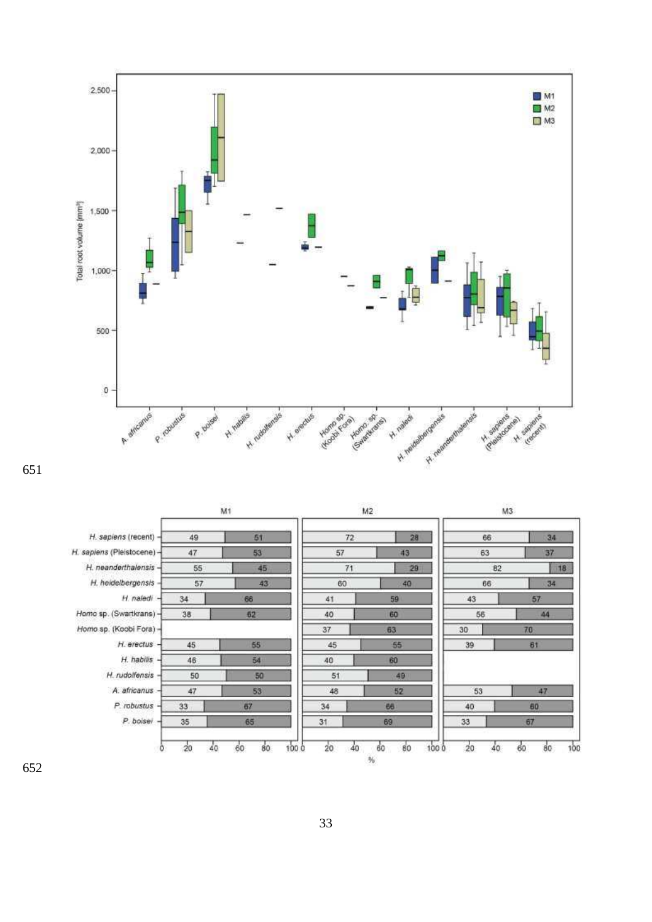



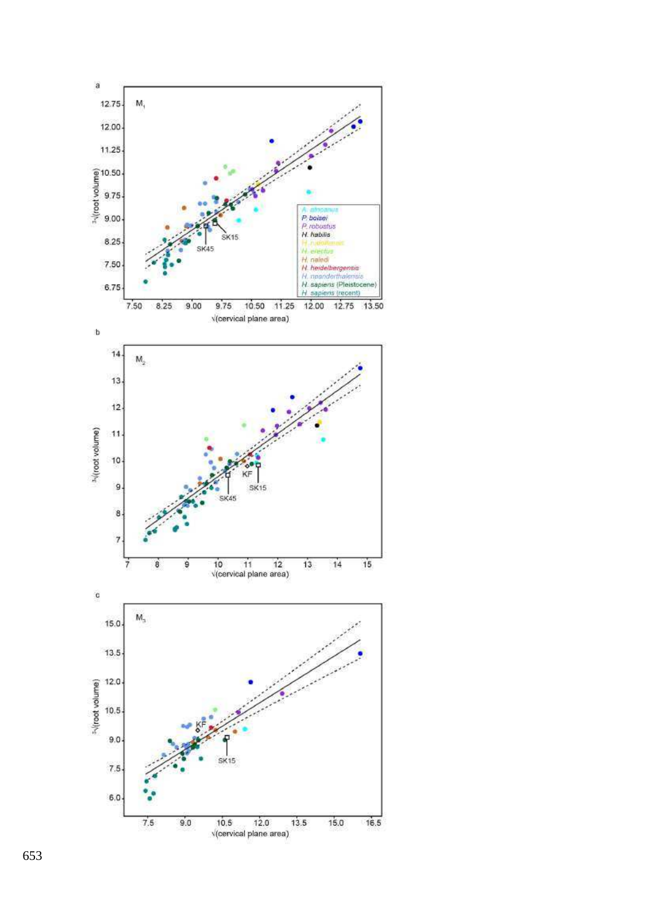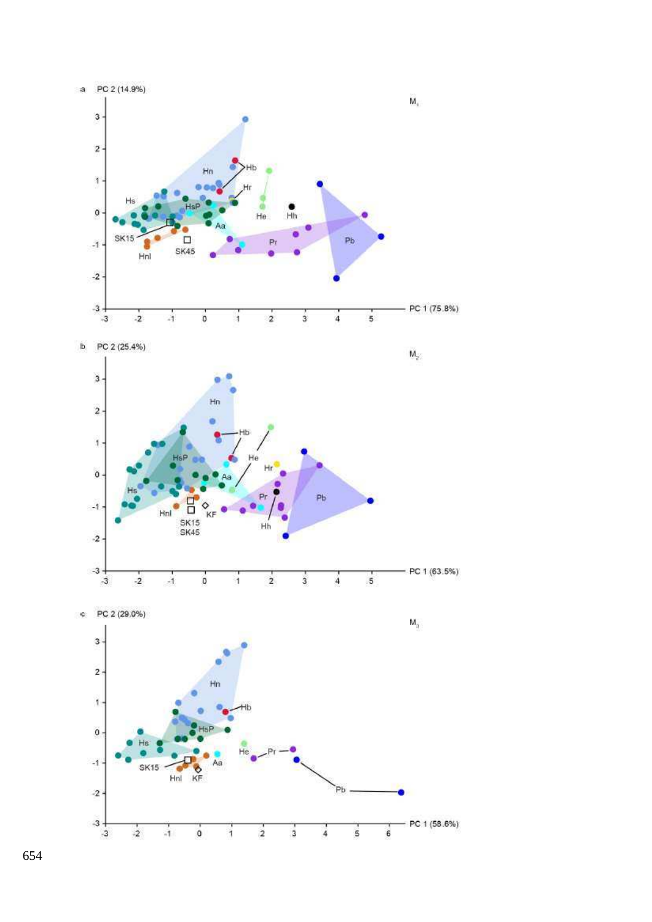





 $C = PC 2 (29.0%)$ 

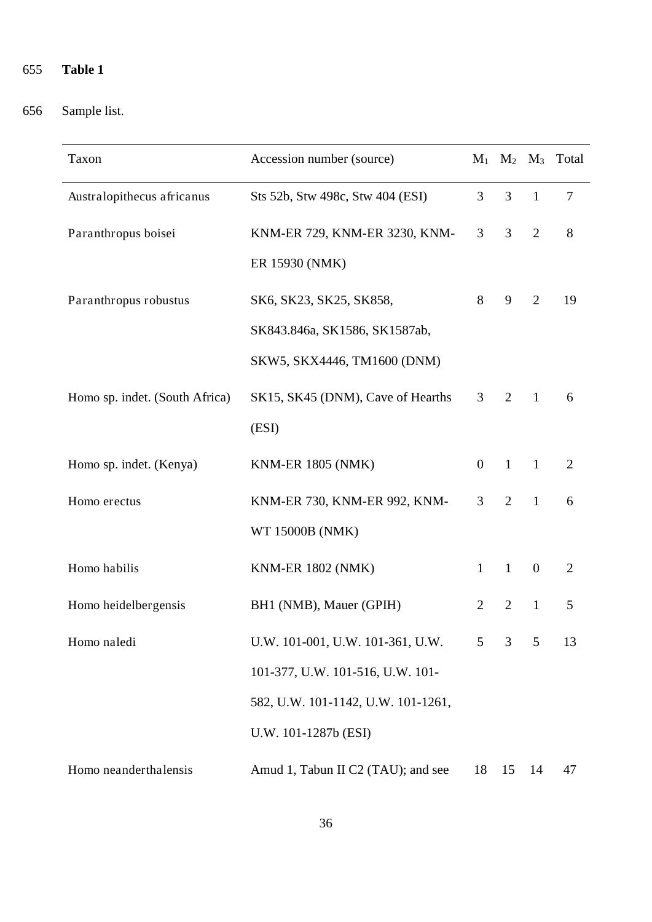## 655 **Table 1**

## 656 Sample list.

| Taxon                          | Accession number (source)          |                | $M_1$ $M_2$ $M_3$ |                | Total          |
|--------------------------------|------------------------------------|----------------|-------------------|----------------|----------------|
| Australopithecus africanus     | Sts 52b, Stw 498c, Stw 404 (ESI)   | 3              | 3                 | $\mathbf{1}$   | $\overline{7}$ |
| Paranthropus boisei            | KNM-ER 729, KNM-ER 3230, KNM-      | 3              | 3                 | $\overline{2}$ | 8              |
|                                | ER 15930 (NMK)                     |                |                   |                |                |
| Paranthropus robustus          | SK6, SK23, SK25, SK858,            | 8              | 9                 | $\overline{2}$ | 19             |
|                                | SK843.846a, SK1586, SK1587ab,      |                |                   |                |                |
|                                | SKW5, SKX4446, TM1600 (DNM)        |                |                   |                |                |
| Homo sp. indet. (South Africa) | SK15, SK45 (DNM), Cave of Hearths  | 3              | 2                 | $\mathbf{1}$   | 6              |
|                                | (ESI)                              |                |                   |                |                |
| Homo sp. indet. (Kenya)        | <b>KNM-ER 1805 (NMK)</b>           | $\overline{0}$ | $\mathbf{1}$      | $\mathbf{1}$   | $\overline{2}$ |
| Homo erectus                   | KNM-ER 730, KNM-ER 992, KNM-       | 3              | $\overline{2}$    | $\mathbf{1}$   | 6              |
|                                | WT 15000B (NMK)                    |                |                   |                |                |
| Homo habilis                   | <b>KNM-ER 1802 (NMK)</b>           | $\mathbf{1}$   | $\mathbf{1}$      | $\overline{0}$ | $\overline{2}$ |
| Homo heidelbergensis           | BH1 (NMB), Mauer (GPIH)            | $\overline{2}$ | $\overline{2}$    | $\mathbf{1}$   | 5              |
| Homo naledi                    | U.W. 101-001, U.W. 101-361, U.W.   | 5              | 3                 | 5              | 13             |
|                                | 101-377, U.W. 101-516, U.W. 101-   |                |                   |                |                |
|                                | 582, U.W. 101-1142, U.W. 101-1261, |                |                   |                |                |
|                                | U.W. 101-1287b (ESI)               |                |                   |                |                |
| Homo neanderthalensis          | Amud 1, Tabun II C2 (TAU); and see | 18             | 15                | 14             | 47             |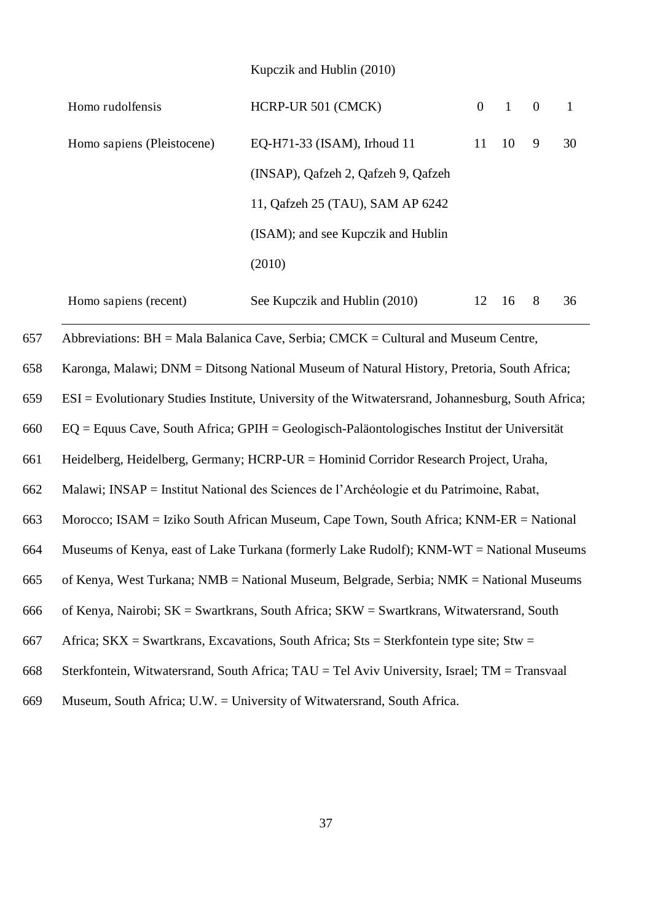Kupczik and Hublin (2010)

| Homo rudolfensis           | HCRP-UR 501 (CMCK)                  | $\overline{0}$ | $1 \quad 0$ |   | 1  |
|----------------------------|-------------------------------------|----------------|-------------|---|----|
| Homo sapiens (Pleistocene) | EQ-H71-33 (ISAM), Irhoud 11         | 11             | 10          | 9 | 30 |
|                            | (INSAP), Qafzeh 2, Qafzeh 9, Qafzeh |                |             |   |    |
|                            | 11, Qafzeh 25 (TAU), SAM AP 6242    |                |             |   |    |
|                            |                                     |                |             |   |    |
|                            | (2010)                              |                |             |   |    |
| Homo sapiens (recent)      | See Kupczik and Hublin (2010)       | 12             | -16         | 8 | 36 |

657 Abbreviations: BH = Mala Balanica Cave, Serbia; CMCK = Cultural and Museum Centre,

658 Karonga, Malawi; DNM = Ditsong National Museum of Natural History, Pretoria, South Africa;

659 ESI = Evolutionary Studies Institute, University of the Witwatersrand, Johannesburg, South Africa;

660 EQ = Equus Cave, South Africa; GPIH = Geologisch-Paläontologisches Institut der Universität

661 Heidelberg, Heidelberg, Germany; HCRP-UR = Hominid Corridor Research Project, Uraha,

662 Malawi; INSAP = Institut National des Sciences de l'Archéologie et du Patrimoine, Rabat,

663 Morocco; ISAM = Iziko South African Museum, Cape Town, South Africa; KNM-ER = National

664 Museums of Kenya, east of Lake Turkana (formerly Lake Rudolf); KNM-WT = National Museums

665 of Kenya, West Turkana; NMB = National Museum, Belgrade, Serbia; NMK = National Museums

666 of Kenya, Nairobi; SK = Swartkrans, South Africa; SKW = Swartkrans, Witwatersrand, South

667 Africa; SKX = Swartkrans, Excavations, South Africa; Sts = Sterkfontein type site; Stw =

668 Sterkfontein, Witwatersrand, South Africa; TAU = Tel Aviv University, Israel; TM = Transvaal

669 Museum, South Africa; U.W. = University of Witwatersrand, South Africa.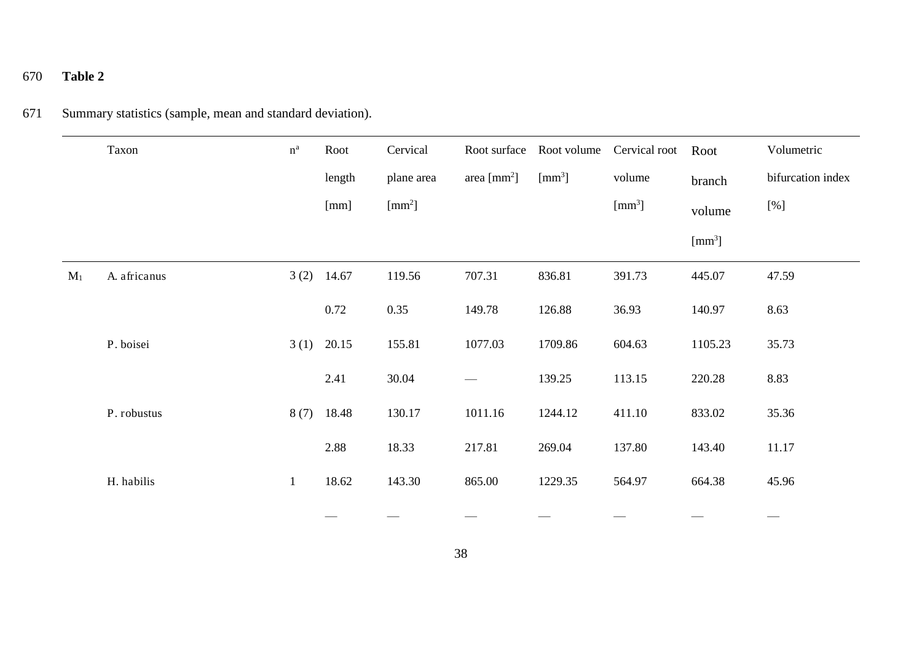## 670 **Table 2**

671 Summary statistics (sample, mean and standard deviation).

|       | Taxon        | $\rm n^a$    | Root         | Cervical           | Root surface                | Root volume    | Cervical root  | Root                   | Volumetric        |
|-------|--------------|--------------|--------------|--------------------|-----------------------------|----------------|----------------|------------------------|-------------------|
|       |              |              | length       | plane area         | area $\text{[mm}^2\text{]}$ | $\text{[mm}^3$ | volume         | branch                 | bifurcation index |
|       |              |              | [mm]         | [mm <sup>2</sup> ] |                             |                | $\text{[mm}^3$ | volume                 | [%]               |
|       |              |              |              |                    |                             |                |                | $\text{[mm}^3\text{]}$ |                   |
| $M_1$ | A. africanus |              | $3(2)$ 14.67 | 119.56             | 707.31                      | 836.81         | 391.73         | 445.07                 | 47.59             |
|       |              |              | 0.72         | 0.35               | 149.78                      | 126.88         | 36.93          | 140.97                 | 8.63              |
|       | P. boisei    | 3(1)         | 20.15        | 155.81             | 1077.03                     | 1709.86        | 604.63         | 1105.23                | 35.73             |
|       |              |              | 2.41         | 30.04              |                             | 139.25         | 113.15         | 220.28                 | 8.83              |
|       | P. robustus  | 8(7)         | 18.48        | 130.17             | 1011.16                     | 1244.12        | 411.10         | 833.02                 | 35.36             |
|       |              |              | 2.88         | 18.33              | 217.81                      | 269.04         | 137.80         | 143.40                 | 11.17             |
|       | H. habilis   | $\mathbf{1}$ | 18.62        | 143.30             | 865.00                      | 1229.35        | 564.97         | 664.38                 | 45.96             |
|       |              |              |              |                    |                             |                |                |                        |                   |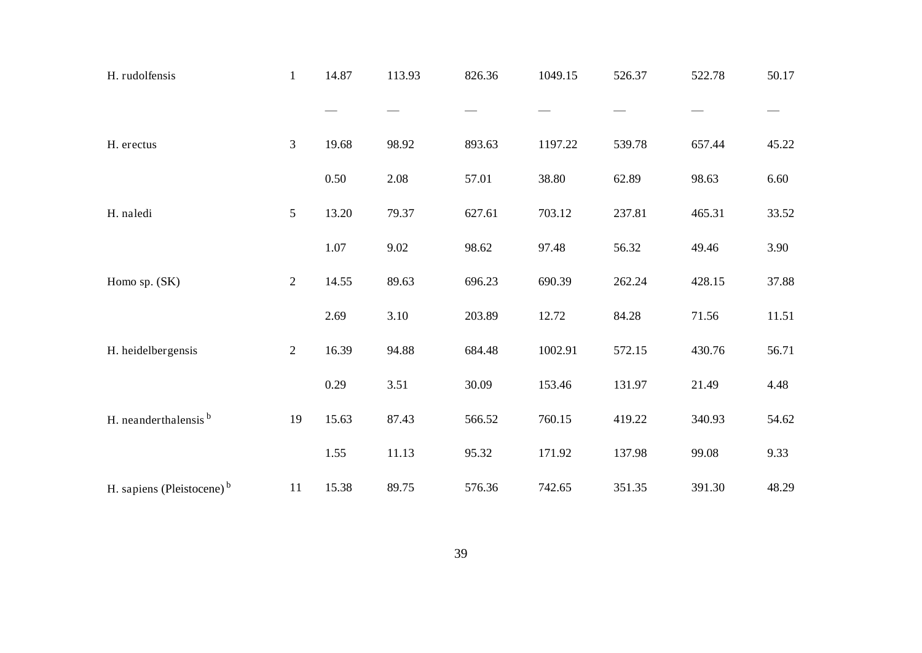| H. rudolfensis                        | $\mathbf{1}$   | 14.87 | 113.93 | 826.36 | 1049.15 | 526.37 | 522.78 | 50.17 |
|---------------------------------------|----------------|-------|--------|--------|---------|--------|--------|-------|
|                                       |                |       |        |        |         |        |        |       |
| H. erectus                            | 3              | 19.68 | 98.92  | 893.63 | 1197.22 | 539.78 | 657.44 | 45.22 |
|                                       |                | 0.50  | 2.08   | 57.01  | 38.80   | 62.89  | 98.63  | 6.60  |
| H. naledi                             | $\mathfrak{S}$ | 13.20 | 79.37  | 627.61 | 703.12  | 237.81 | 465.31 | 33.52 |
|                                       |                | 1.07  | 9.02   | 98.62  | 97.48   | 56.32  | 49.46  | 3.90  |
| Homo sp. (SK)                         | $\overline{c}$ | 14.55 | 89.63  | 696.23 | 690.39  | 262.24 | 428.15 | 37.88 |
|                                       |                | 2.69  | 3.10   | 203.89 | 12.72   | 84.28  | 71.56  | 11.51 |
| H. heidelbergensis                    | $\overline{2}$ | 16.39 | 94.88  | 684.48 | 1002.91 | 572.15 | 430.76 | 56.71 |
|                                       |                | 0.29  | 3.51   | 30.09  | 153.46  | 131.97 | 21.49  | 4.48  |
| H. neanderthalensis <sup>b</sup>      | 19             | 15.63 | 87.43  | 566.52 | 760.15  | 419.22 | 340.93 | 54.62 |
|                                       |                | 1.55  | 11.13  | 95.32  | 171.92  | 137.98 | 99.08  | 9.33  |
| H. sapiens (Pleistocene) <sup>b</sup> | 11             | 15.38 | 89.75  | 576.36 | 742.65  | 351.35 | 391.30 | 48.29 |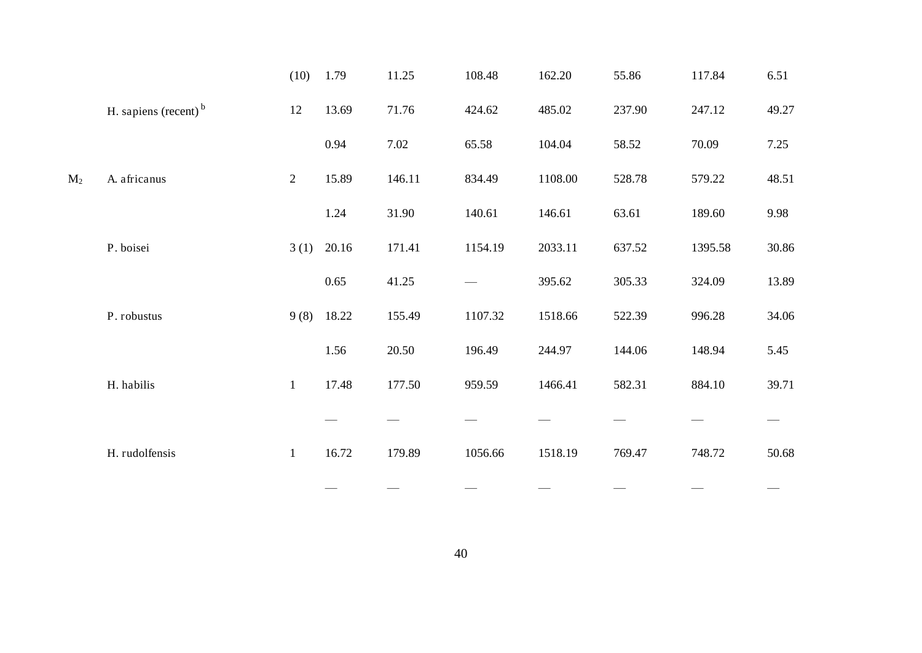|       |                         | (10)           | 1.79  | 11.25  | 108.48  | 162.20  | 55.86  | 117.84  | 6.51  |
|-------|-------------------------|----------------|-------|--------|---------|---------|--------|---------|-------|
|       | H. sapiens (recent) $b$ | 12             | 13.69 | 71.76  | 424.62  | 485.02  | 237.90 | 247.12  | 49.27 |
|       |                         |                | 0.94  | 7.02   | 65.58   | 104.04  | 58.52  | 70.09   | 7.25  |
| $M_2$ | A. africanus            | $\overline{2}$ | 15.89 | 146.11 | 834.49  | 1108.00 | 528.78 | 579.22  | 48.51 |
|       |                         |                | 1.24  | 31.90  | 140.61  | 146.61  | 63.61  | 189.60  | 9.98  |
|       | P. boisei               | $3(1)$ 20.16   |       | 171.41 | 1154.19 | 2033.11 | 637.52 | 1395.58 | 30.86 |
|       |                         |                | 0.65  | 41.25  |         | 395.62  | 305.33 | 324.09  | 13.89 |
|       | P. robustus             | $9(8)$ 18.22   |       | 155.49 | 1107.32 | 1518.66 | 522.39 | 996.28  | 34.06 |
|       |                         |                | 1.56  | 20.50  | 196.49  | 244.97  | 144.06 | 148.94  | 5.45  |
|       | H. habilis              | $\mathbf{1}$   | 17.48 | 177.50 | 959.59  | 1466.41 | 582.31 | 884.10  | 39.71 |
|       |                         |                |       |        |         |         |        |         |       |
|       | H. rudolfensis          | $\mathbf{1}$   | 16.72 | 179.89 | 1056.66 | 1518.19 | 769.47 | 748.72  | 50.68 |
|       |                         |                |       |        |         |         |        |         |       |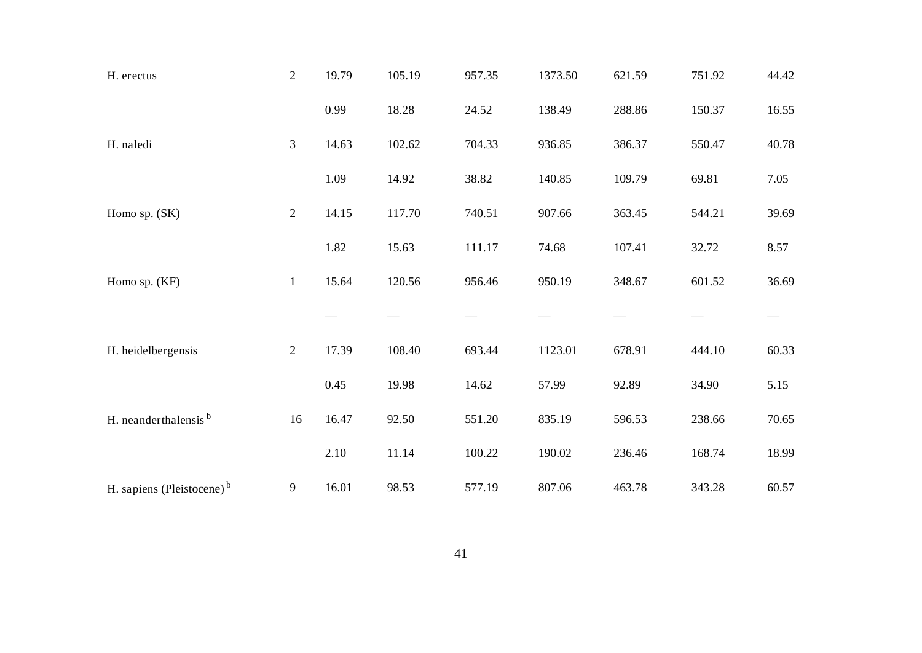| H. erectus                            | $\overline{2}$ | 19.79 | 105.19 | 957.35 | 1373.50 | 621.59 | 751.92 | 44.42 |
|---------------------------------------|----------------|-------|--------|--------|---------|--------|--------|-------|
|                                       |                | 0.99  | 18.28  | 24.52  | 138.49  | 288.86 | 150.37 | 16.55 |
| H. naledi                             | $\mathfrak{Z}$ | 14.63 | 102.62 | 704.33 | 936.85  | 386.37 | 550.47 | 40.78 |
|                                       |                | 1.09  | 14.92  | 38.82  | 140.85  | 109.79 | 69.81  | 7.05  |
| Homo sp. (SK)                         | $\sqrt{2}$     | 14.15 | 117.70 | 740.51 | 907.66  | 363.45 | 544.21 | 39.69 |
|                                       |                | 1.82  | 15.63  | 111.17 | 74.68   | 107.41 | 32.72  | 8.57  |
| Homo sp. (KF)                         | $\mathbf{1}$   | 15.64 | 120.56 | 956.46 | 950.19  | 348.67 | 601.52 | 36.69 |
|                                       |                |       |        |        |         |        |        |       |
| H. heidelbergensis                    | $\overline{2}$ | 17.39 | 108.40 | 693.44 | 1123.01 | 678.91 | 444.10 | 60.33 |
|                                       |                | 0.45  | 19.98  | 14.62  | 57.99   | 92.89  | 34.90  | 5.15  |
| H. neanderthalensis <sup>b</sup>      | 16             | 16.47 | 92.50  | 551.20 | 835.19  | 596.53 | 238.66 | 70.65 |
|                                       |                | 2.10  | 11.14  | 100.22 | 190.02  | 236.46 | 168.74 | 18.99 |
| H. sapiens (Pleistocene) <sup>b</sup> | 9              | 16.01 | 98.53  | 577.19 | 807.06  | 463.78 | 343.28 | 60.57 |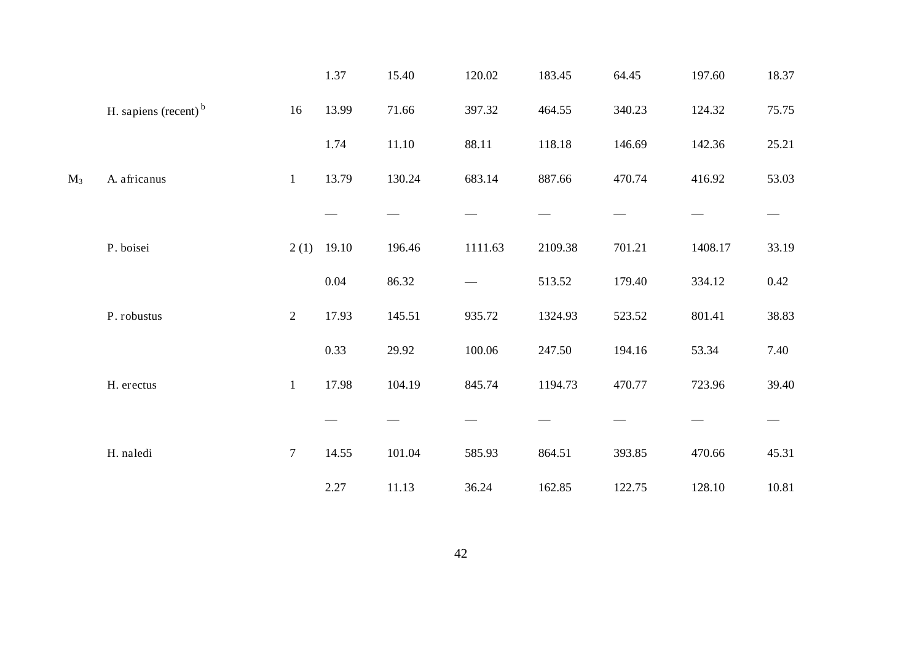|       |                         |                | 1.37  | 15.40     | 120.02  | 183.45  | 64.45  | 197.60  | 18.37 |
|-------|-------------------------|----------------|-------|-----------|---------|---------|--------|---------|-------|
|       | H. sapiens (recent) $b$ | 16             | 13.99 | 71.66     | 397.32  | 464.55  | 340.23 | 124.32  | 75.75 |
|       |                         |                | 1.74  | $11.10\,$ | 88.11   | 118.18  | 146.69 | 142.36  | 25.21 |
| $M_3$ | A. africanus            | $\mathbf{1}$   | 13.79 | 130.24    | 683.14  | 887.66  | 470.74 | 416.92  | 53.03 |
|       |                         |                |       |           |         |         |        |         |       |
|       | P. boisei               | $2(1)$ 19.10   |       | 196.46    | 1111.63 | 2109.38 | 701.21 | 1408.17 | 33.19 |
|       |                         |                | 0.04  | 86.32     |         | 513.52  | 179.40 | 334.12  | 0.42  |
|       | P. robustus             | $\overline{2}$ | 17.93 | 145.51    | 935.72  | 1324.93 | 523.52 | 801.41  | 38.83 |
|       |                         |                | 0.33  | 29.92     | 100.06  | 247.50  | 194.16 | 53.34   | 7.40  |
|       | H. erectus              | $\mathbf{1}$   | 17.98 | 104.19    | 845.74  | 1194.73 | 470.77 | 723.96  | 39.40 |
|       |                         |                |       |           |         |         |        |         |       |
|       | H. naledi               | $\tau$         | 14.55 | 101.04    | 585.93  | 864.51  | 393.85 | 470.66  | 45.31 |
|       |                         |                | 2.27  | 11.13     | 36.24   | 162.85  | 122.75 | 128.10  | 10.81 |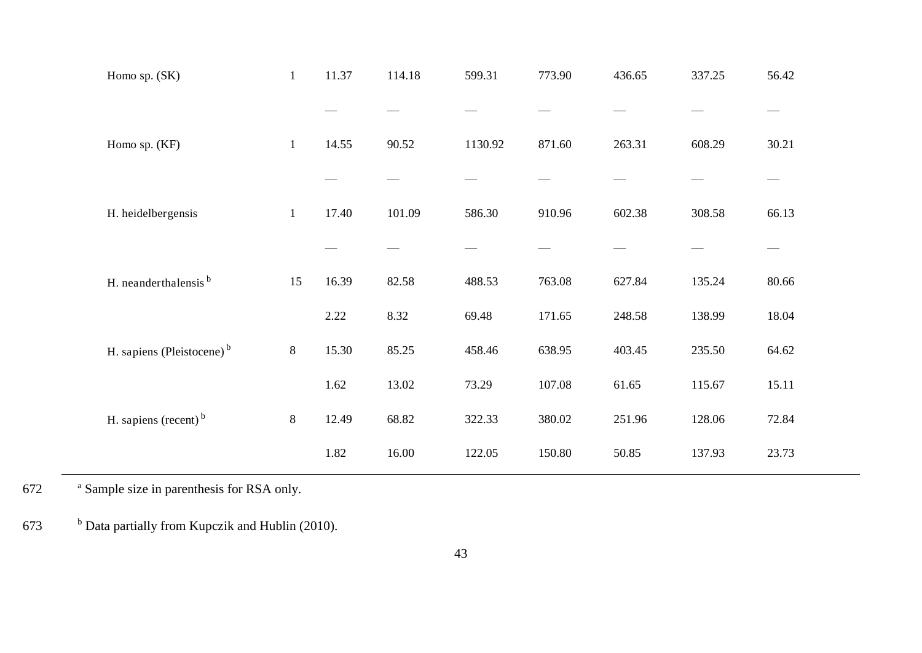| Homo sp. (SK)                         | $\mathbf{1}$ | 11.37 | 114.18 | 599.31  | 773.90 | 436.65 | 337.25 | 56.42 |
|---------------------------------------|--------------|-------|--------|---------|--------|--------|--------|-------|
|                                       |              |       |        |         |        |        |        |       |
| Homo sp. (KF)                         | $\mathbf{1}$ | 14.55 | 90.52  | 1130.92 | 871.60 | 263.31 | 608.29 | 30.21 |
|                                       |              |       |        |         |        |        |        |       |
| H. heidelbergensis                    | $\mathbf{1}$ | 17.40 | 101.09 | 586.30  | 910.96 | 602.38 | 308.58 | 66.13 |
|                                       |              |       |        |         |        |        |        |       |
| H. neanderthalensis <sup>b</sup>      | 15           | 16.39 | 82.58  | 488.53  | 763.08 | 627.84 | 135.24 | 80.66 |
|                                       |              | 2.22  | 8.32   | 69.48   | 171.65 | 248.58 | 138.99 | 18.04 |
| H. sapiens (Pleistocene) <sup>b</sup> | $\,8\,$      | 15.30 | 85.25  | 458.46  | 638.95 | 403.45 | 235.50 | 64.62 |
|                                       |              | 1.62  | 13.02  | 73.29   | 107.08 | 61.65  | 115.67 | 15.11 |
| H. sapiens (recent) $b$               | $8\,$        | 12.49 | 68.82  | 322.33  | 380.02 | 251.96 | 128.06 | 72.84 |
|                                       |              | 1.82  | 16.00  | 122.05  | 150.80 | 50.85  | 137.93 | 23.73 |

a 672 Sample size in parenthesis for RSA only.

673 b Data partially from Kupczik and Hublin (2010).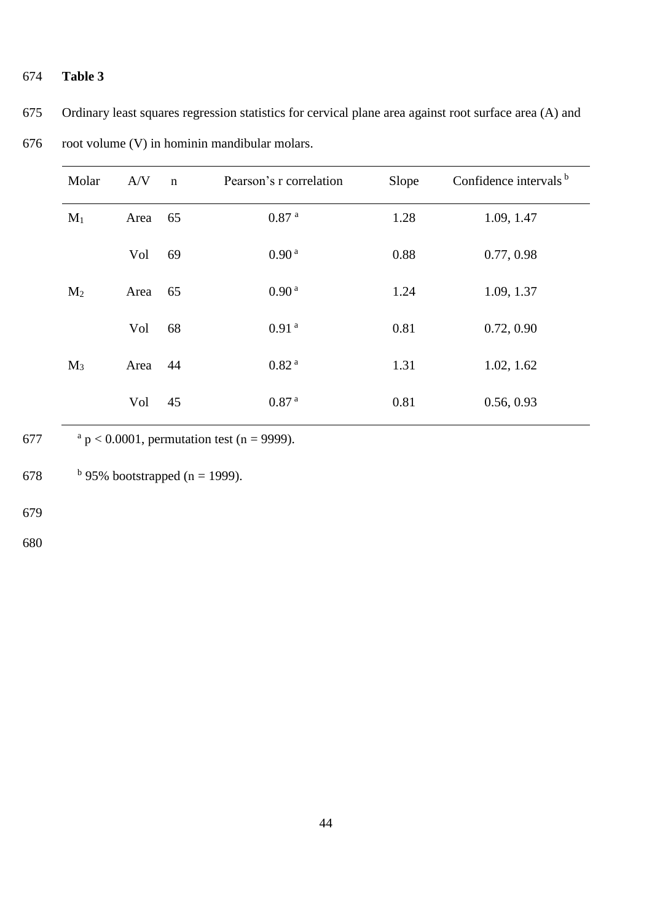## 674 **Table 3**

| Molar | A/V  | $\mathbf n$ | Pearson's r correlation | Slope | Confidence intervals <sup>b</sup> |
|-------|------|-------------|-------------------------|-------|-----------------------------------|
| $M_1$ | Area | 65          | 0.87 <sup>a</sup>       | 1.28  | 1.09, 1.47                        |
|       | Vol  | 69          | 0.90 <sup>a</sup>       | 0.88  | 0.77, 0.98                        |
| $M_2$ | Area | 65          | 0.90 <sup>a</sup>       | 1.24  | 1.09, 1.37                        |
|       | Vol  | 68          | 0.91 <sup>a</sup>       | 0.81  | 0.72, 0.90                        |
| $M_3$ | Area | 44          | 0.82 <sup>a</sup>       | 1.31  | 1.02, 1.62                        |
|       | Vol  | 45          | 0.87 <sup>a</sup>       | 0.81  | 0.56, 0.93                        |
|       |      |             |                         |       |                                   |

675 Ordinary least squares regression statistics for cervical plane area against root surface area (A) and

| v.<br>۰, | .,<br>۰, |  |
|----------|----------|--|
|          |          |  |

676 root volume (V) in hominin mandibular molars.

677  $a_p < 0.0001$ , permutation test (n = 9999).

678  $\frac{b}{25\%}$  bootstrapped (n = 1999).

679